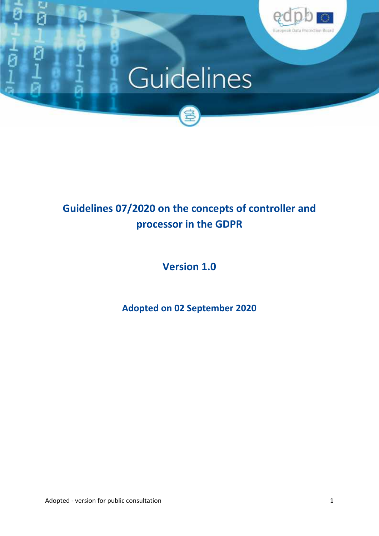

# Guidelines



## **Guidelines 07/2020 on the concepts of controller and processor in the GDPR**

**Version 1.0**

**Adopted on 02 September 2020**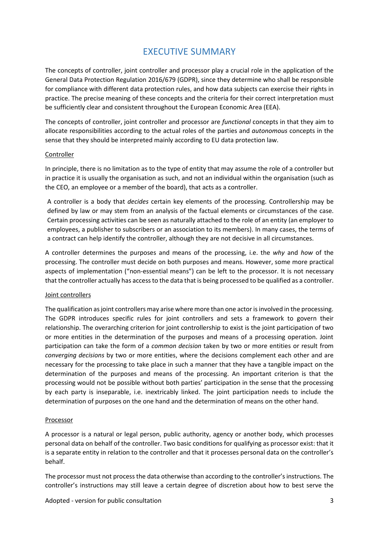## EXECUTIVE SUMMARY

The concepts of controller, joint controller and processor play a crucial role in the application of the General Data Protection Regulation 2016/679 (GDPR), since they determine who shall be responsible for compliance with different data protection rules, and how data subjects can exercise their rights in practice. The precise meaning of these concepts and the criteria for their correct interpretation must be sufficiently clear and consistent throughout the European Economic Area (EEA).

The concepts of controller, joint controller and processor are *functional* concepts in that they aim to allocate responsibilities according to the actual roles of the parties and *autonomous* concepts in the sense that they should be interpreted mainly according to EU data protection law.

#### Controller

In principle, there is no limitation as to the type of entity that may assume the role of a controller but in practice it is usually the organisation as such, and not an individual within the organisation (such as the CEO, an employee or a member of the board), that acts as a controller.

A controller is a body that *decides* certain key elements of the processing. Controllership may be defined by law or may stem from an analysis of the factual elements or circumstances of the case. Certain processing activities can be seen as naturally attached to the role of an entity (an employer to employees, a publisher to subscribers or an association to its members). In many cases, the terms of a contract can help identify the controller, although they are not decisive in all circumstances.

A controller determines the purposes and means of the processing, i.e. the *why* and *how* of the processing. The controller must decide on both purposes and means. However, some more practical aspects of implementation ("non-essential means") can be left to the processor. It is not necessary that the controller actually has accessto the data that is being processed to be qualified as a controller.

#### Joint controllers

The qualification as joint controllers may arise where more than one actor is involved in the processing. The GDPR introduces specific rules for joint controllers and sets a framework to govern their relationship. The overarching criterion for joint controllership to exist is the joint participation of two or more entities in the determination of the purposes and means of a processing operation. Joint participation can take the form of a *common decision* taken by two or more entities or result from *converging decisions* by two or more entities, where the decisions complement each other and are necessary for the processing to take place in such a manner that they have a tangible impact on the determination of the purposes and means of the processing. An important criterion is that the processing would not be possible without both parties' participation in the sense that the processing by each party is inseparable, i.e. inextricably linked. The joint participation needs to include the determination of purposes on the one hand and the determination of means on the other hand.

#### Processor

A processor is a natural or legal person, public authority, agency or another body, which processes personal data on behalf of the controller. Two basic conditions for qualifying as processor exist: that it is a separate entity in relation to the controller and that it processes personal data on the controller's behalf.

The processor must not process the data otherwise than according to the controller's instructions. The controller's instructions may still leave a certain degree of discretion about how to best serve the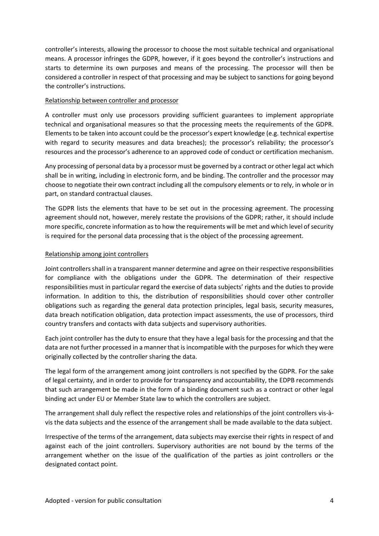controller's interests, allowing the processor to choose the most suitable technical and organisational means. A processor infringes the GDPR, however, if it goes beyond the controller's instructions and starts to determine its own purposes and means of the processing. The processor will then be considered a controller in respect of that processing and may be subject to sanctions for going beyond the controller's instructions.

#### Relationship between controller and processor

A controller must only use processors providing sufficient guarantees to implement appropriate technical and organisational measures so that the processing meets the requirements of the GDPR. Elements to be taken into account could be the processor's expert knowledge (e.g. technical expertise with regard to security measures and data breaches); the processor's reliability; the processor's resources and the processor's adherence to an approved code of conduct or certification mechanism.

Any processing of personal data by a processor must be governed by a contract or other legal act which shall be in writing, including in electronic form, and be binding. The controller and the processor may choose to negotiate their own contract including all the compulsory elements or to rely, in whole or in part, on standard contractual clauses.

The GDPR lists the elements that have to be set out in the processing agreement. The processing agreement should not, however, merely restate the provisions of the GDPR; rather, it should include more specific, concrete information as to how the requirements will be met and which level of security is required for the personal data processing that is the object of the processing agreement.

#### Relationship among joint controllers

Joint controllers shall in a transparent manner determine and agree on their respective responsibilities for compliance with the obligations under the GDPR. The determination of their respective responsibilities must in particular regard the exercise of data subjects' rights and the duties to provide information. In addition to this, the distribution of responsibilities should cover other controller obligations such as regarding the general data protection principles, legal basis, security measures, data breach notification obligation, data protection impact assessments, the use of processors, third country transfers and contacts with data subjects and supervisory authorities.

Each joint controller has the duty to ensure that they have a legal basis for the processing and that the data are not further processed in a manner that is incompatible with the purposes for which they were originally collected by the controller sharing the data.

The legal form of the arrangement among joint controllers is not specified by the GDPR. For the sake of legal certainty, and in order to provide for transparency and accountability, the EDPB recommends that such arrangement be made in the form of a binding document such as a contract or other legal binding act under EU or Member State law to which the controllers are subject.

The arrangement shall duly reflect the respective roles and relationships of the joint controllers vis-à vis the data subjects and the essence of the arrangement shall be made available to the data subject.

Irrespective of the terms of the arrangement, data subjects may exercise their rights in respect of and against each of the joint controllers. Supervisory authorities are not bound by the terms of the arrangement whether on the issue of the qualification of the parties as joint controllers or the designated contact point.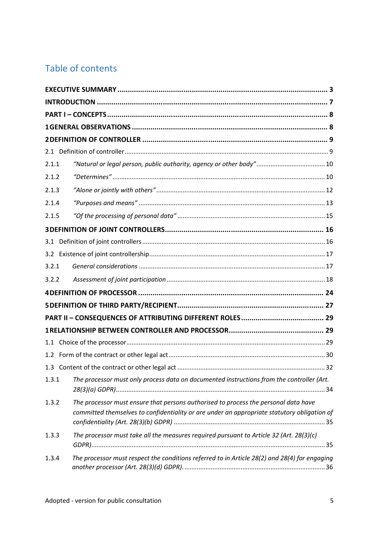## Table of contents

| 2.1.1 |                                                                                                                                                                                    |  |
|-------|------------------------------------------------------------------------------------------------------------------------------------------------------------------------------------|--|
| 2.1.2 |                                                                                                                                                                                    |  |
| 2.1.3 |                                                                                                                                                                                    |  |
| 2.1.4 |                                                                                                                                                                                    |  |
| 2.1.5 |                                                                                                                                                                                    |  |
|       |                                                                                                                                                                                    |  |
|       |                                                                                                                                                                                    |  |
|       |                                                                                                                                                                                    |  |
| 3.2.1 |                                                                                                                                                                                    |  |
| 3.2.2 |                                                                                                                                                                                    |  |
|       |                                                                                                                                                                                    |  |
|       |                                                                                                                                                                                    |  |
|       |                                                                                                                                                                                    |  |
|       |                                                                                                                                                                                    |  |
|       |                                                                                                                                                                                    |  |
|       |                                                                                                                                                                                    |  |
|       |                                                                                                                                                                                    |  |
| 1.3.1 | The processor must only process data on documented instructions from the controller (Art.                                                                                          |  |
| 1.3.2 | The processor must ensure that persons authorised to process the personal data have<br>committed themselves to confidentiality or are under an appropriate statutory obligation of |  |
| 1.3.3 | The processor must take all the measures required pursuant to Article 32 (Art. 28(3)(c)                                                                                            |  |
| 1.3.4 | The processor must respect the conditions referred to in Article 28(2) and 28(4) for engaging                                                                                      |  |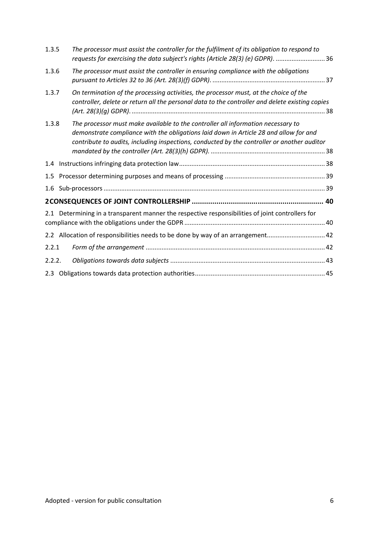| 1.3.5  | The processor must assist the controller for the fulfilment of its obligation to respond to<br>requests for exercising the data subject's rights (Article 28(3) (e) GDPR).  36                                                                                           |
|--------|--------------------------------------------------------------------------------------------------------------------------------------------------------------------------------------------------------------------------------------------------------------------------|
| 1.3.6  | The processor must assist the controller in ensuring compliance with the obligations                                                                                                                                                                                     |
| 1.3.7  | On termination of the processing activities, the processor must, at the choice of the<br>controller, delete or return all the personal data to the controller and delete existing copies                                                                                 |
| 1.3.8  | The processor must make available to the controller all information necessary to<br>demonstrate compliance with the obligations laid down in Article 28 and allow for and<br>contribute to audits, including inspections, conducted by the controller or another auditor |
|        |                                                                                                                                                                                                                                                                          |
|        |                                                                                                                                                                                                                                                                          |
| 1.6    |                                                                                                                                                                                                                                                                          |
|        |                                                                                                                                                                                                                                                                          |
|        | 2.1 Determining in a transparent manner the respective responsibilities of joint controllers for                                                                                                                                                                         |
|        | 2.2 Allocation of responsibilities needs to be done by way of an arrangement 42                                                                                                                                                                                          |
| 2.2.1  |                                                                                                                                                                                                                                                                          |
| 2.2.2. |                                                                                                                                                                                                                                                                          |
|        |                                                                                                                                                                                                                                                                          |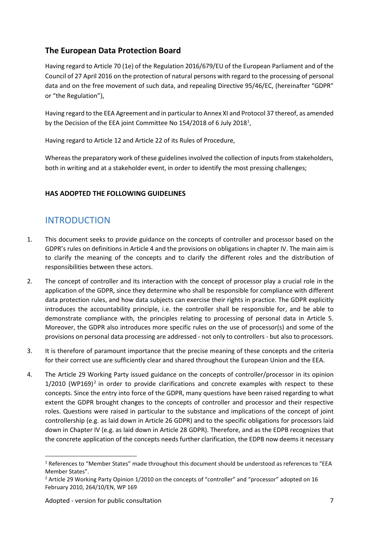### **The European Data Protection Board**

Having regard to Article 70 (1e) of the Regulation 2016/679/EU of the European Parliament and of the Council of 27 April 2016 on the protection of natural persons with regard to the processing of personal data and on the free movement of such data, and repealing Directive 95/46/EC, (hereinafter "GDPR" or "the Regulation"),

Having regard to the EEA Agreement and in particular to Annex XI and Protocol 37 thereof, as amended by the Decision of the EEA joint Committee No 154/2018 of 6 July 2018<sup>1</sup>,

Having regard to Article 12 and Article 22 of its Rules of Procedure,

Whereas the preparatory work of these guidelines involved the collection of inputs from stakeholders, both in writing and at a stakeholder event, in order to identify the most pressing challenges;

#### **HAS ADOPTED THE FOLLOWING GUIDELINES**

## INTRODUCTION

- 1. This document seeks to provide guidance on the concepts of controller and processor based on the GDPR's rules on definitions in Article 4 and the provisions on obligations in chapter IV. The main aim is to clarify the meaning of the concepts and to clarify the different roles and the distribution of responsibilities between these actors.
- 2. The concept of controller and its interaction with the concept of processor play a crucial role in the application of the GDPR, since they determine who shall be responsible for compliance with different data protection rules, and how data subjects can exercise their rights in practice. The GDPR explicitly introduces the accountability principle, i.e. the controller shall be responsible for, and be able to demonstrate compliance with, the principles relating to processing of personal data in Article 5. Moreover, the GDPR also introduces more specific rules on the use of processor(s) and some of the provisions on personal data processing are addressed - not only to controllers - but also to processors.
- 3. It is therefore of paramount importance that the precise meaning of these concepts and the criteria for their correct use are sufficiently clear and shared throughout the European Union and the EEA.
- 4. The Article 29 Working Party issued guidance on the concepts of controller/processor in its opinion 1/2010 (WP169)<sup>2</sup> in order to provide clarifications and concrete examples with respect to these concepts. Since the entry into force of the GDPR, many questions have been raised regarding to what extent the GDPR brought changes to the concepts of controller and processor and their respective roles. Questions were raised in particular to the substance and implications of the concept of joint controllership (e.g. as laid down in Article 26 GDPR) and to the specific obligations for processors laid down in Chapter IV (e.g. as laid down in Article 28 GDPR). Therefore, and as the EDPB recognizes that the concrete application of the concepts needs further clarification, the EDPB now deems it necessary

<sup>1</sup> References to "Member States" made throughout this document should be understood as references to "EEA Member States".

<sup>&</sup>lt;sup>2</sup> Article 29 Working Party Opinion 1/2010 on the concepts of "controller" and "processor" adopted on 16 February 2010, 264/10/EN, WP 169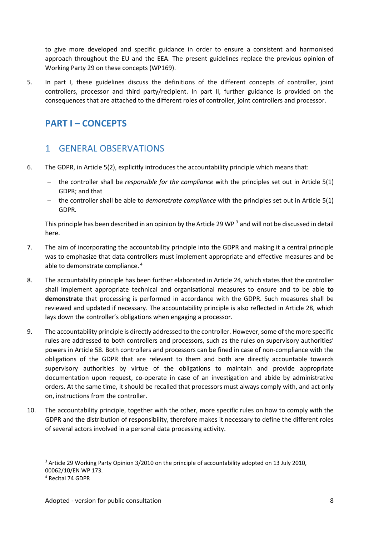to give more developed and specific guidance in order to ensure a consistent and harmonised approach throughout the EU and the EEA. The present guidelines replace the previous opinion of Working Party 29 on these concepts (WP169).

5. In part I, these guidelines discuss the definitions of the different concepts of controller, joint controllers, processor and third party/recipient. In part II, further guidance is provided on the consequences that are attached to the different roles of controller, joint controllers and processor.

## **PART I – CONCEPTS**

## 1 GENERAL OBSERVATIONS

- 6. The GDPR, in Article 5(2), explicitly introduces the accountability principle which means that:
	- the controller shall be *responsible for the compliance* with the principles set out in Article 5(1) GDPR; and that
	- the controller shall be able to *demonstrate compliance* with the principles set out in Article 5(1) GDPR.

This principle has been described in an opinion by the Article 29 WP <sup>3</sup> and will not be discussed in detail here.

- 7. The aim of incorporating the accountability principle into the GDPR and making it a central principle was to emphasize that data controllers must implement appropriate and effective measures and be able to demonstrate compliance. <sup>4</sup>
- 8. The accountability principle has been further elaborated in Article 24, which states that the controller shall implement appropriate technical and organisational measures to ensure and to be able **to demonstrate** that processing is performed in accordance with the GDPR. Such measures shall be reviewed and updated if necessary. The accountability principle is also reflected in Article 28, which lays down the controller's obligations when engaging a processor.
- 9. The accountability principle is directly addressed to the controller. However, some of the more specific rules are addressed to both controllers and processors, such as the rules on supervisory authorities' powers in Article 58. Both controllers and processors can be fined in case of non-compliance with the obligations of the GDPR that are relevant to them and both are directly accountable towards supervisory authorities by virtue of the obligations to maintain and provide appropriate documentation upon request, co-operate in case of an investigation and abide by administrative orders. At the same time, it should be recalled that processors must always comply with, and act only on, instructions from the controller.
- 10. The accountability principle, together with the other, more specific rules on how to comply with the GDPR and the distribution of responsibility, therefore makes it necessary to define the different roles of several actors involved in a personal data processing activity.

<sup>&</sup>lt;sup>3</sup> Article 29 Working Party Opinion 3/2010 on the principle of accountability adopted on 13 July 2010, 00062/10/EN WP 173.

<sup>4</sup> Recital 74 GDPR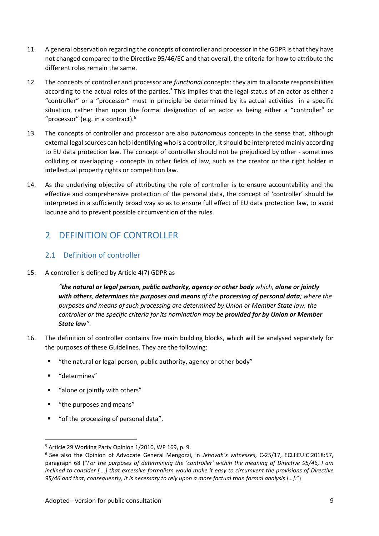- 11. A general observation regarding the concepts of controller and processor in the GDPR isthat they have not changed compared to the Directive 95/46/EC and that overall, the criteria for how to attribute the different roles remain the same.
- 12. The concepts of controller and processor are *functional* concepts: they aim to allocate responsibilities according to the actual roles of the parties.<sup>5</sup> This implies that the legal status of an actor as either a "controller" or a "processor" must in principle be determined by its actual activities in a specific situation, rather than upon the formal designation of an actor as being either a "controller" or "processor" (e.g. in a contract). $6$
- 13. The concepts of controller and processor are also *autonomous* concepts in the sense that, although external legal sources can help identifying who is a controller, it should be interpreted mainly according to EU data protection law. The concept of controller should not be prejudiced by other - sometimes colliding or overlapping - concepts in other fields of law, such as the creator or the right holder in intellectual property rights or competition law.
- 14. As the underlying objective of attributing the role of controller is to ensure accountability and the effective and comprehensive protection of the personal data, the concept of 'controller' should be interpreted in a sufficiently broad way so as to ensure full effect of EU data protection law, to avoid lacunae and to prevent possible circumvention of the rules.

## 2 DEFINITION OF CONTROLLER

#### 2.1 Definition of controller

#### 15. A controller is defined by Article 4(7) GDPR as

*"the natural or legal person, public authority, agency or other body which, alone or jointly with others, determines the purposes and means of the processing of personal data; where the purposes and means of such processing are determined by Union or Member State law, the controller or the specific criteria for its nomination may be provided for by Union or Member State law"*.

- 16. The definition of controller contains five main building blocks, which will be analysed separately for the purposes of these Guidelines. They are the following:
	- "the natural or legal person, public authority, agency or other body"
	- **"** determines"
	- "alone or jointly with others"
	- " "the purposes and means"
	- "of the processing of personal data".

<sup>&</sup>lt;sup>5</sup> Article 29 Working Party Opinion 1/2010, WP 169, p. 9.

<sup>6</sup> See also the Opinion of Advocate General Mengozzi, in *Jehovah's witnesses*, C-25/17, ECLI:EU:C:2018:57, paragraph 68 ("*For the purposes of determining the 'controller' within the meaning of Directive 95/46, I am* inclined to consider [....] that excessive formalism would make it easy to circumvent the provisions of Directive *95/46 and that, consequently, it is necessary to rely upon a more factual than formal analysis […].*")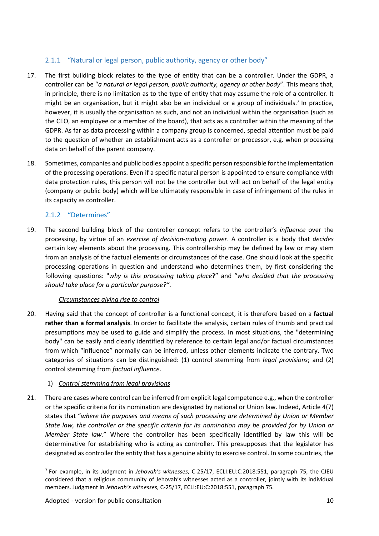#### 2.1.1 "Natural or legal person, public authority, agency or other body"

- 17. The first building block relates to the type of entity that can be a controller. Under the GDPR, a controller can be "*a natural or legal person, public authority, agency or other body*". This means that, in principle, there is no limitation as to the type of entity that may assume the role of a controller. It might be an organisation, but it might also be an individual or a group of individuals.<sup>7</sup> In practice, however, it is usually the organisation as such, and not an individual within the organisation (such as the CEO, an employee or a member of the board), that acts as a controller within the meaning of the GDPR. As far as data processing within a company group is concerned, special attention must be paid to the question of whether an establishment acts as a controller or processor, e.g. when processing data on behalf of the parent company.
- 18. Sometimes, companies and public bodies appoint a specific person responsible forthe implementation of the processing operations. Even if a specific natural person is appointed to ensure compliance with data protection rules, this person will not be the controller but will act on behalf of the legal entity (company or public body) which will be ultimately responsible in case of infringement of the rules in its capacity as controller.

#### 2.1.2 "Determines"

19. The second building block of the controller concept refers to the controller's *influence* over the processing, by virtue of an *exercise of decision-making power*. A controller is a body that *decides* certain key elements about the processing. This controllership may be defined by law or may stem from an analysis of the factual elements or circumstances of the case. One should look at the specific processing operations in question and understand who determines them, by first considering the following questions: "*why is this processing taking place*?" and "*who decided that the processing should take place for a particular purpose?"*.

#### *Circumstances giving rise to control*

20. Having said that the concept of controller is a functional concept, it is therefore based on a **factual rather than a formal analysis**. In order to facilitate the analysis, certain rules of thumb and practical presumptions may be used to guide and simplify the process. In most situations, the "determining body" can be easily and clearly identified by reference to certain legal and/or factual circumstances from which "influence" normally can be inferred, unless other elements indicate the contrary. Two categories of situations can be distinguished: (1) control stemming from *legal provisions*; and (2) control stemming from *factual influence*.

#### 1) *Control stemming from legal provisions*

21. There are cases where control can be inferred from explicit legal competence e.g., when the controller or the specific criteria for its nomination are designated by national or Union law. Indeed, Article 4(7) states that "*where the purposes and means of such processing are determined by Union or Member* State law, the controller or the specific criteria for its nomination may be provided for by Union or *Member State law.*" Where the controller has been specifically identified by law this will be determinative for establishing who is acting as controller. This presupposes that the legislator has designated as controller the entity that has a genuine ability to exercise control. In some countries, the

<sup>7</sup> For example, in its Judgment in *Jehovah's witnesses*, C-25/17, ECLI:EU:C:2018:551, paragraph 75, the CJEU considered that a religious community of Jehovah's witnesses acted as a controller, jointly with its individual members. Judgment in *Jehovah's witnesses*, C-25/17, ECLI:EU:C:2018:551, paragraph 75.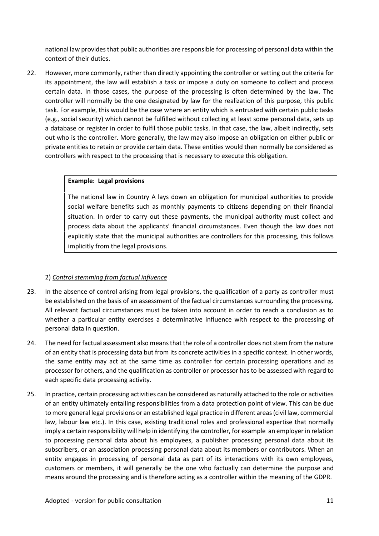national law provides that public authorities are responsible for processing of personal data within the context of their duties.

22. However, more commonly, rather than directly appointing the controller or setting out the criteria for its appointment, the law will establish a task or impose a duty on someone to collect and process certain data. In those cases, the purpose of the processing is often determined by the law. The controller will normally be the one designated by law for the realization of this purpose, this public task. For example, this would be the case where an entity which is entrusted with certain public tasks (e.g., social security) which cannot be fulfilled without collecting atleast some personal data, sets up a database or register in order to fulfil those public tasks. In that case, the law, albeit indirectly, sets out who is the controller. More generally, the law may also impose an obligation on either public or private entities to retain or provide certain data. These entities would then normally be considered as controllers with respect to the processing that is necessary to execute this obligation.

#### **Example: Legal provisions**

The national law in Country A lays down an obligation for municipal authorities to provide social welfare benefits such as monthly payments to citizens depending on their financial situation. In order to carry out these payments, the municipal authority must collect and process data about the applicants' financial circumstances. Even though the law doesnot explicitly state that the municipal authorities are controllers for this processing, this follows implicitly from the legal provisions.

#### 2) *Control stemming from factual influence*

- 23. In the absence of control arising from legal provisions, the qualification of a party as controller must be established on the basis of an assessment of the factual circumstances surrounding the processing. All relevant factual circumstances must be taken into account in order to reach a conclusion as to whether a particular entity exercises a determinative influence with respect to the processing of personal data in question.
- 24. The need for factual assessment also means that the role of a controller does not stem from the nature of an entity that is processing data but from its concrete activities in a specific context. In other words, the same entity may act at the same time as controller for certain processing operations and as processor for others, and the qualification as controller or processor has to be assessed with regard to each specific data processing activity.
- 25. In practice, certain processing activities can be considered as naturally attached to the role oractivities of an entity ultimately entailing responsibilities from a data protection point of view. This can be due to more general legal provisions or an established legal practice in different areas(civil law, commercial law, labour law etc.). In this case, existing traditional roles and professional expertise that normally imply a certain responsibility will help in identifying the controller, for example an employer in relation to processing personal data about his employees, a publisher processing personal data about its subscribers, or an association processing personal data about its members or contributors. When an entity engages in processing of personal data as part of its interactions with its own employees, customers or members, it will generally be the one who factually can determine the purpose and means around the processing and is therefore acting as a controller within the meaning of the GDPR.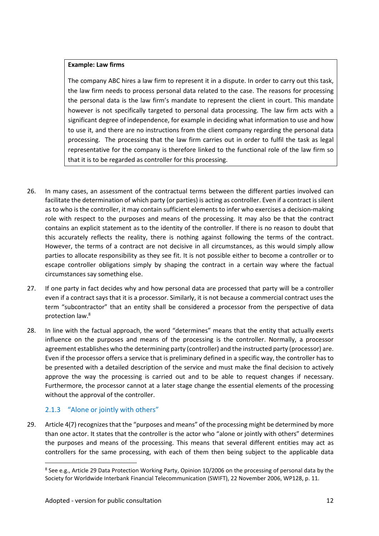#### **Example: Law firms**

The company ABC hires a law firm to represent it in a dispute. In order to carry out this task, the law firm needs to process personal data related to the case. The reasons for processing the personal data is the law firm's mandate to represent the client in court. This mandate however is not specifically targeted to personal data processing. The law firm acts with a significant degree of independence, for example in deciding what information to use and how to use it, and there are no instructions from the client company regarding the personal data processing. The processing that the law firm carries out in order to fulfil the task as legal representative for the company is therefore linked to the functional role of the law firm so that it is to be regarded as controller for this processing.

- 26. In many cases, an assessment of the contractual terms between the different parties involved can facilitate the determination of which party (or parties) is acting as controller. Even if a contract is silent as to who is the controller, it may contain sufficient elements to infer who exercises a decision-making role with respect to the purposes and means of the processing. It may also be that the contract contains an explicit statement as to the identity of the controller. If there is no reason to doubt that this accurately reflects the reality, there is nothing against following the terms of the contract. However, the terms of a contract are not decisive in all circumstances, as this would simply allow parties to allocate responsibility as they see fit. It is not possible either to become a controller or to escape controller obligations simply by shaping the contract in a certain way where the factual circumstances say something else.
- 27. If one party in fact decides why and how personal data are processed that party will be a controller even if a contract says that it is a processor. Similarly, it is not because a commercial contract uses the term "subcontractor" that an entity shall be considered a processor from the perspective of data protection law.<sup>8</sup>
- 28. In line with the factual approach, the word "determines" means that the entity that actually exerts influence on the purposes and means of the processing is the controller. Normally, a processor agreement establishes who the determining party (controller) and the instructed party (processor) are. Even if the processor offers a service that is preliminary defined in a specific way, the controller has to be presented with a detailed description of the service and must make the final decision to actively approve the way the processing is carried out and to be able to request changes if necessary. Furthermore, the processor cannot at a later stage change the essential elements of the processing without the approval of the controller.

#### 2.1.3 "Alone or jointly with others"

29. Article 4(7) recognizes that the "purposes and means" of the processing might be determined by more than one actor. It states that the controller is the actor who "alone or jointly with others" determines the purposes and means of the processing. This means that several different entities may act as controllers for the same processing, with each of them then being subject to the applicable data

<sup>&</sup>lt;sup>8</sup> See e.g., Article 29 Data Protection Working Party, Opinion 10/2006 on the processing of personal data by the Society for Worldwide Interbank Financial Telecommunication (SWIFT), 22 November 2006, WP128, p. 11.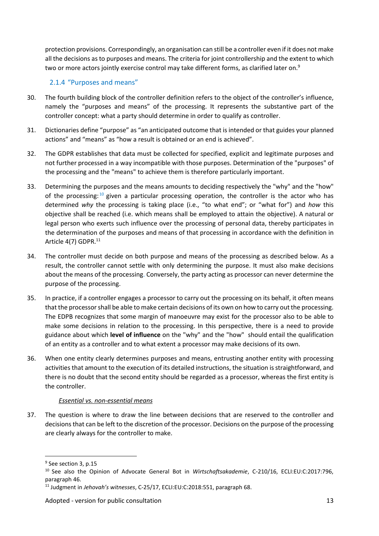protection provisions. Correspondingly, an organisation can still be a controller even if itdoes not make all the decisions asto purposes and means. The criteria for joint controllership and the extent to which two or more actors jointly exercise control may take different forms, as clarified later on.<sup>9</sup>

#### 2.1.4 "Purposes and means"

- 30. The fourth building block ofthe controller definition refers to the object of the controller's influence, namely the "purposes and means" of the processing. It represents the substantive part of the controller concept: what a party should determine in order to qualify as controller.
- 31. Dictionaries define "purpose" as "an anticipated outcome that is intended or that guides your planned actions" and "means" as "how a result is obtained or an end is achieved".
- 32. The GDPR establishes that data must be collected for specified, explicit and legitimate purposes and not further processed in a way incompatible with those purposes. Determination of the "purposes" of the processing and the "means" to achieve them is therefore particularly important.
- 33. Determining the purposes and the means amounts to deciding respectively the "why" and the "how" of the processing:  $10$  given a particular processing operation, the controller is the actor who has determined *why* the processing is taking place (i.e., "to what end"; or "what for") and *how* this objective shall be reached (i.e. which means shall be employed to attain the objective). A natural or legal person who exerts such influence over the processing of personal data, thereby participates in the determination of the purposes and means of that processing in accordance with the definition in Article 4(7) GDPR.<sup>11</sup>
- 34. The controller must decide on both purpose and means of the processing as described below. As a result, the controller cannot settle with only determining the purpose. It must also make decisions about the means of the processing. Conversely, the party acting as processor can never determine the purpose of the processing.
- 35. In practice, if a controller engages a processor to carry out the processing on its behalf, it often means that the processor shall be able to make certain decisions of its own on how to carry out the processing. The EDPB recognizes that some margin of manoeuvre may exist for the processor also to be able to make some decisions in relation to the processing. In this perspective, there is a need to provide guidance about which **level of influence** on the "why" and the "how" should entail the qualification of an entity as a controller and to what extent a processor may make decisions of its own.
- 36. When one entity clearly determines purposes and means, entrusting another entity with processing activities that amount to the execution of its detailed instructions, the situation is straightforward, and there is no doubt that the second entity should be regarded as a processor, whereas the first entity is the controller.

#### *Essential vs. non-essential means*

37. The question iswhere to draw the line between decisions that are reserved to the controller and decisions that can be left to the discretion of the processor. Decisions on the purpose of the processing are clearly always for the controller to make.

<sup>&</sup>lt;sup>9</sup> See section 3, p.15

<sup>&</sup>lt;sup>10</sup> See also the Opinion of Advocate General Bot in Wirtschaftsakademie, C-210/16, ECLI:EU:C:2017:796, paragraph 46.

<sup>11</sup> Judgment in *Jehovah's witnesses*, C-25/17, ECLI:EU:C:2018:551, paragraph 68.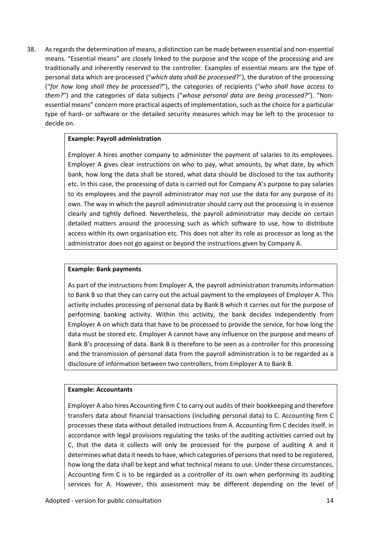38. Asregardsthe determination of means, a distinction can be made between essential and non-essential means. "Essential means" are closely linked to the purpose and the scope of the processing and are traditionally and inherently reserved to the controller. Examples of essential means are the type of personal data which are processed ("*which data shall be processed*?"), the duration of the processing ("*for how long shall they be processed?*"), the categories of recipients ("*who shall have access to them?*") and the categories of data subjects ("*whose personal data are being processed?*"). "Non essential means" concern more practical aspects of implementation, such as the choice for a particular type of hard- or software or the detailed security measures which may be left to the processor to decide on.

#### **Example: Payroll administration**

Employer A hires another company to administer the payment of salaries to its employees. Employer A gives clear instructions on who to pay, what amounts, by what date, by which bank, how long the data shall be stored, what data should be disclosed to the tax authority etc. In this case, the processing of data is carried out for Company A's purpose to pay salaries to its employees and the payroll administrator may not use the data for any purpose of its own. The way in which the payroll administrator should carry out the processing is in essence clearly and tightly defined. Nevertheless, the payroll administrator may decide on certain detailed matters around the processing such as which software to use, how to distribute access within its own organisation etc. This does not alter its role as processor as long as the administrator does not go against or beyond the instructions given by Company A.

#### **Example: Bank payments**

As part of the instructions from Employer A, the payroll administration transmits information to Bank B so that they can carry out the actual payment to the employees of Employer A. This activity includes processing of personal data by Bank B which it carries out for the purpose of performing banking activity. Within this activity, the bank decides independently from Employer A on which data that have to be processed to provide the service, for how long the data must be stored etc. Employer A cannot have any influence on the purpose and means of Bank B's processing of data. Bank B is therefore to be seen as a controller for this processing and the transmission of personal data from the payroll administration is to be regarded as a disclosure of information between two controllers, from Employer A to Bank B.

#### **Example: Accountants**

Employer A also hires Accounting firm C to carry out audits of their bookkeeping and therefore transfers data about financial transactions (including personal data) to C. Accounting firm C processes these data without detailed instructions from A. Accounting firm C decides itself, in accordance with legal provisions regulating the tasks of the auditing activities carried out by C, that the data it collects will only be processed for the purpose of auditing A and it determines what data it needs to have, which categories of persons that need to be registered, how long the data shall be kept and what technical means to use. Under these circumstances, Accounting firm C is to be regarded as a controller of its own when performing its auditing services for A. However, this assessment may be different depending on the level of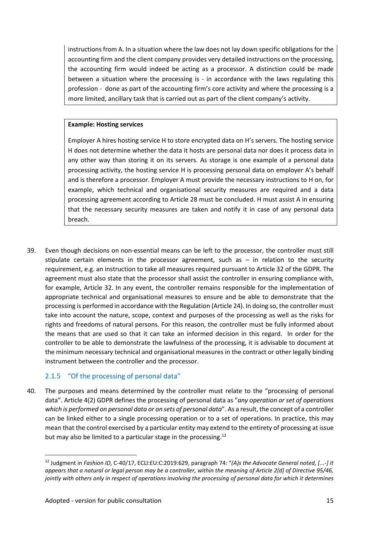instructions from A. In a situation where the law does not lay down specific obligations for the accounting firm and the client company provides very detailed instructions on the processing, the accounting firm would indeed be acting as a processor. A distinction could be made between a situation where the processing is - in accordance with the laws regulating this profession - done as part of the accounting firm's core activity and where the processing is a more limited, ancillary task that is carried out as part of the client company's activity.

#### **Example: Hosting services**

Employer A hires hosting service H to store encrypted data on H's servers. The hosting service H does not determine whether the data it hosts are personal data nor does it process data in any other way than storing it on its servers. As storage is one example of a personal data processing activity, the hosting service H is processing personal data on employer A's behalf and is therefore a processor. Employer A must provide the necessary instructions to H on, for example, which technical and organisational security measures are required and a data processing agreement according to Article 28 must be concluded. H must assist A in ensuring that the necessary security measures are taken and notify it in case of any personal data breach.

39. Even though decisions on non-essential means can be left to the processor, the controller must still stipulate certain elements in the processor agreement, such as  $-$  in relation to the security requirement, e.g. an instruction to take all measures required pursuant to Article 32 of the GDPR. The agreement must also state that the processor shall assist the controller in ensuring compliance with, for example, Article 32. In any event, the controller remains responsible for the implementation of appropriate technical and organisational measures to ensure and be able to demonstrate that the processing is performed in accordance with the Regulation (Article 24). In doing so, the controller must take into account the nature, scope, context and purposes of the processing as well as the risks for rights and freedoms of natural persons. For this reason, the controller must be fully informed about the means that are used so that it can take an informed decision in this regard. In order for the controller to be able to demonstrate the lawfulness of the processing, it is advisable to document at the minimum necessary technical and organisational measures in the contract or other legally binding instrument between the controller and the processor.

#### 2.1.5 "Of the processing of personal data"

40. The purposes and means determined by the controller must relate to the "processing of personal data". Article 4(2) GDPR defines the processing of personal data as "*any operation or set of operations which is performed on personal data or on sets of personal data*". As a result, the concept of a controller can be linked either to a single processing operation or to a set of operations. In practice, this may mean that the control exercised by a particular entity may extend to the entirety of processing at issue but may also be limited to a particular stage in the processing.<sup>12</sup>

<sup>12</sup> Judgment in *Fashion ID*, C‑40/17, ECLI:EU:C:2019:629, paragraph 74: "*(A)s the Advocate General noted, [...-] it* appears that a natural or legal person may be a controller, within the meaning of Article 2(d) of Directive 95/46, jointly with others only in respect of operations involving the processing of personal data for which it determines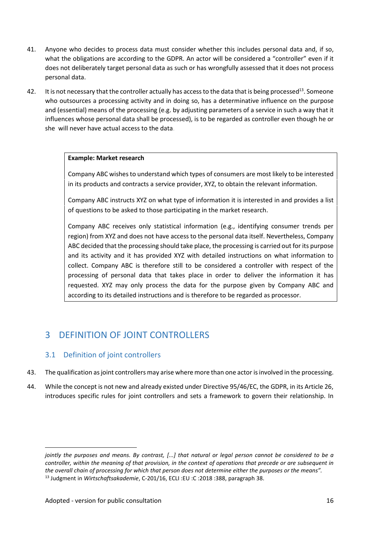- 41. Anyone who decides to process data must consider whether this includes personal data and, if so, what the obligations are according to the GDPR. An actor will be considered a "controller" even if it does not deliberately target personal data as such or has wrongfully assessed that it does not process personal data.
- 42. It is not necessary that the controller actually has access to the data that is being processed<sup>13</sup>. Someone who outsources a processing activity and in doing so, has a determinative influence on the purpose and (essential) means of the processing (e.g. by adjusting parameters of a service in such a way that it influences whose personal data shall be processed), is to be regarded as controller even though he or she will never have actual access to the data.

#### **Example: Market research**

Company ABC wishesto understand which types of consumers are most likely to be interested in its products and contracts a service provider, XYZ, to obtain the relevant information.

Company ABC instructs XYZ on what type of information it is interested in and provides a list of questions to be asked to those participating in the market research.

Company ABC receives only statistical information (e.g., identifying consumer trends per region) from XYZ and does not have access to the personal data itself. Nevertheless, Company ABC decided that the processing should take place, the processing is carried out for its purpose and its activity and it has provided XYZ with detailed instructions on what information to collect. Company ABC is therefore still to be considered a controller with respect of the processing of personal data that takes place in order to deliver the information it has requested. XYZ may only process the data for the purpose given by Company ABC and according to its detailed instructions and is therefore to be regarded as processor.

## 3 DEFINITION OF JOINT CONTROLLERS

#### 3.1 Definition of joint controllers

- 43. The qualification as joint controllers may arise where more than one actor isinvolved in the processing.
- 44. While the concept is not new and already existed under Directive 95/46/EC, the GDPR, in its Article 26, introduces specific rules for joint controllers and sets a framework to govern their relationship. In

jointly the purposes and means. By contrast, [...] that natural or legal person cannot be considered to be a controller, within the meaning of that provision, in the context of operations that precede or are subsequent in the overall chain of processing for which that person does not determine either the purposes or the means". <sup>13</sup> Judgment in *Wirtschaftsakademie*, C-201/16, ECLI :EU :C :2018 :388, paragraph 38.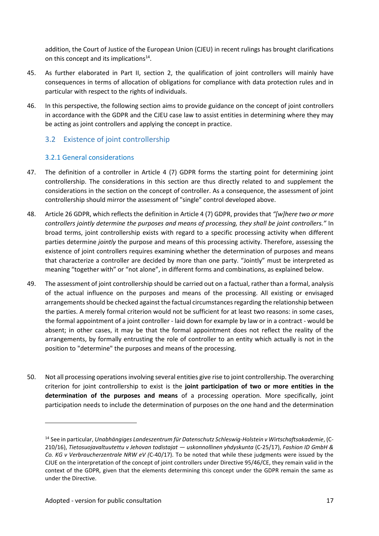addition, the Court of Justice of the European Union (CJEU) in recent rulings has brought clarifications on this concept and its implications<sup>14</sup>.

- 45. As further elaborated in Part II, section 2, the qualification of joint controllers will mainly have consequences in terms of allocation of obligations for compliance with data protection rules and in particular with respect to the rights of individuals.
- 46. In this perspective, the following section aims to provide guidance on the concept of joint controllers in accordance with the GDPR and the CJEU case law to assist entities in determining where they may be acting as joint controllers and applying the concept in practice.

#### 3.2 Existence of joint controllership

#### 3.2.1 General considerations

- 47. The definition of a controller in Article 4 (7) GDPR forms the starting point for determining joint controllership. The considerations in this section are thus directly related to and supplement the considerations in the section on the concept of controller. As a consequence, the assessment of joint controllership should mirror the assessment of "single" control developed above.
- 48. Article 26 GDPR, which reflects the definition in Article 4 (7) GDPR, provides that *"[w]here two or more controllers jointly determine the purposes and means of processing, they shall be joint controllers."* In broad terms, joint controllership exists with regard to a specific processing activity when different parties determine *jointly* the purpose and means of this processing activity. Therefore, assessing the existence of joint controllers requires examining whether the determination of purposes and means that characterize a controller are decided by more than one party. "Jointly" must be interpreted as meaning "together with" or "not alone", in different forms and combinations, as explained below.
- 49. The assessment of joint controllership should be carried out on a factual, rather than a formal, analysis of the actual influence on the purposes and means of the processing. All existing or envisaged arrangements should be checked against the factual circumstances regarding the relationship between the parties. A merely formal criterion would not be sufficient for at least two reasons: in some cases, the formal appointment of a joint controller - laid down for example by law or in a contract - would be absent; in other cases, it may be that the formal appointment does not reflect the reality of the arrangements, by formally entrusting the role of controller to an entity which actually is not in the position to "determine" the purposes and means of the processing.
- 50. Not all processing operationsinvolving several entities give rise to joint controllership. The overarching criterion for joint controllership to exist is the **joint participation of two or more entities in the determination of the purposes and means** of a processing operation. More specifically, joint participation needs to include the determination of purposes on the one hand and the determination

<sup>14</sup> See in particular, *Unabhängiges Landeszentrum für Datenschutz Schleswig-Holstein v Wirtschaftsakademie*, (C- 210/16), *Tietosuojavaltuutettu v Jehovan todistajat — uskonnollinen yhdyskunta* (C-25/17), *Fashion ID GmbH & Co. KG v Verbraucherzentrale NRW eV (*C-40/17). To be noted that while these judgments were issued by the CJUE on the interpretation of the concept of joint controllers under Directive 95/46/CE, they remain valid in the context of the GDPR, given that the elements determining this concept under the GDPR remain the same as under the Directive.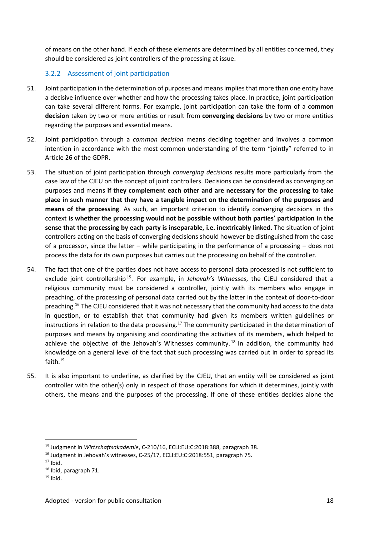of means on the other hand. If each of these elements are determined by all entities concerned, they should be considered as joint controllers of the processing at issue.

#### 3.2.2 Assessment of joint participation

- 51. Joint participation in the determination of purposes and means impliesthat more than one entity have a decisive influence over whether and how the processing takes place. In practice, joint participation can take several different forms. For example, joint participation can take the form of a **common decision** taken by two or more entities or result from **converging decisions** by two or more entities regarding the purposes and essential means.
- 52. Joint participation through a *common decision* means deciding together and involves a common intention in accordance with the most common understanding of the term "jointly" referred to in Article 26 of the GDPR.
- 53. The situation of joint participation through *converging decisions* results more particularly from the case law of the CJEU on the concept of joint controllers. Decisions can be considered as converging on purposes and means **if they complement each other and are necessary for the processing to take place in such manner that they have a tangible impact on the determination of the purposes and means of the processing**. As such, an important criterion to identify converging decisions in this context **is whether the processing would not be possible without both parties' participation in the sense that the processing by each party is inseparable, i.e. inextricably linked.** The situation of joint controllers acting on the basis of converging decisions should however be distinguished from the case of a processor, since the latter – while participating in the performance of a processing – does not process the data for its own purposes but carries out the processing on behalf of the controller.
- 54. The fact that one of the parties does not have access to personal data processed is not sufficient to exclude joint controllership<sup>15</sup>. For example, in *Jehovah's Witnesses*, the CJEU considered that a religious community must be considered a controller, jointly with its members who engage in preaching, of the processing of personal data carried out by the latter in the context of door-to-door preaching.<sup>16</sup> The CJEU considered that it was not necessary that the community had access to the data in question, or to establish that that community had given its members written guidelines or instructions in relation to the data processing.<sup>17</sup> The community participated in the determination of purposes and means by organising and coordinating the activities of its members, which helped to achieve the objective of the Jehovah's Witnesses community.<sup>18</sup> In addition, the community had knowledge on a general level of the fact that such processing was carried out in order to spread its faith.<sup>19</sup>
- 55. It is also important to underline, as clarified by the CJEU, that an entity will be considered as joint controller with the other(s) only in respect of those operations for which it determines, jointly with others, the means and the purposes of the processing. If one of these entities decides alone the

<sup>15</sup> Judgment in *Wirtschaftsakademie*, C-210/16, ECLI:EU:C:2018:388, paragraph 38.

<sup>16</sup> Judgment in Jehovah's witnesses, C-25/17, ECLI:EU:C:2018:551, paragraph 75.

 $17$  Ibid.

<sup>18</sup> Ibid, paragraph 71.

 $19$  Ibid.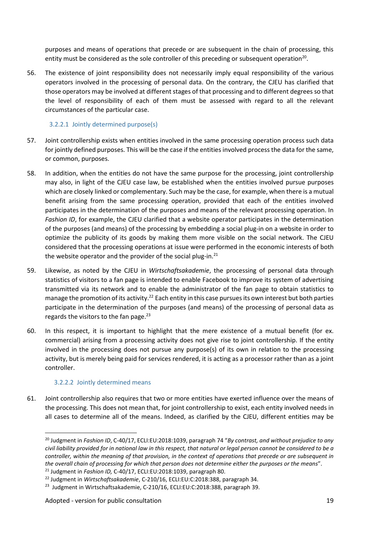purposes and means of operations that precede or are subsequent in the chain of processing, this entity must be considered as the sole controller of this preceding or subsequent operation<sup>20</sup>.

56. The existence of joint responsibility does not necessarily imply equal responsibility of the various operators involved in the processing of personal data. On the contrary, the CJEU has clarified that those operators may be involved at different stages of that processing and to different degrees so that the level of responsibility of each of them must be assessed with regard to all the relevant circumstances of the particular case.

#### 3.2.2.1 Jointly determined purpose(s)

- 57. Joint controllership exists when entities involved in the same processing operation process such data for jointly defined purposes. This will be the case if the entities involved process the data for the same, or common, purposes.
- 58. In addition, when the entities do not have the same purpose for the processing, joint controllership may also, in light of the CJEU case law, be established when the entities involved pursue purposes which are closely linked or complementary. Such may be the case, for example, when there is a mutual benefit arising from the same processing operation, provided that each of the entities involved participates in the determination of the purposes and means of the relevant processing operation. In *Fashion ID*, for example, the CJEU clarified that a website operator participates in the determination of the purposes (and means) of the processing by embedding a social plug-in on a website in order to optimize the publicity of its goods by making them more visible on the social network. The CJEU considered that the processing operations at issue were performed in the economic interests of both the website operator and the provider of the social plug-in. $21$
- 59. Likewise, as noted by the CJEU in Wirtschaftsakademie, the processing of personal data through statistics of visitors to a fan page is intended to enable Facebook to improve its system of advertising transmitted via its network and to enable the administrator of the fan page to obtain statistics to manage the promotion of its activity.<sup>22</sup> Each entity in this case pursues its own interest but both parties participate in the determination of the purposes (and means) of the processing of personal data as regards the visitors to the fan page. $23$
- 60. In this respect, it is important to highlight that the mere existence of a mutual benefit (for ex. commercial) arising from a processing activity does not give rise to joint controllership. If the entity involved in the processing does not pursue any purpose(s) of its own in relation to the processing activity, but is merely being paid for services rendered, it is acting as a processor rather than as a joint controller.

#### 3.2.2.2 Jointly determined means

61. Joint controllership also requires that two or more entities have exerted influence over the means of the processing. This does not mean that, for joint controllership to exist, each entity involved needs in all cases to determine all of the means. Indeed, as clarified by the CJEU, different entities may be

<sup>20</sup> Judgment in *Fashion ID*, C-40/17, ECLI:EU:2018:1039, paragraph 74 "*By contrast, and without prejudice to any* civil liability provided for in national law in this respect, that natural or legal person cannot be considered to be a controller, within the meaning of that provision, in the context of operations that precede or are subsequent in the overall chain of processing for which that person does not determine either the purposes or the means".

<sup>21</sup> Judgment in *Fashion ID,* C-40/17, ECLI:EU:2018:1039, paragraph 80.

<sup>22</sup> Judgment in *Wirtschaftsakademie*, C-210/16, ECLI:EU:C:2018:388, paragraph 34.

<sup>&</sup>lt;sup>23</sup> Judgment in Wirtschaftsakademie, C-210/16, ECLI:EU:C:2018:388, paragraph 39.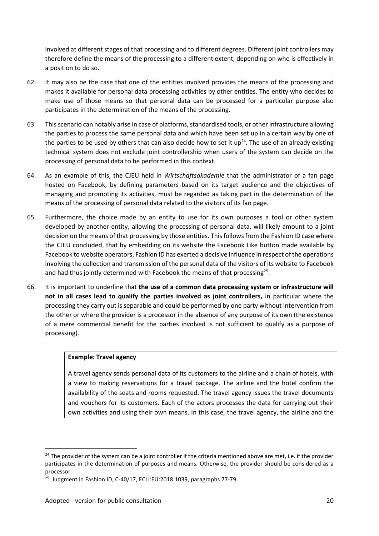involved at different stages of that processing and to different degrees. Different joint controllers may therefore define the means of the processing to a different extent, depending on who is effectively in a position to do so.

- 62. It may also be the case that one of the entities involved provides the means of the processing and makes it available for personal data processing activities by other entities. The entity who decides to make use of those means so that personal data can be processed for a particular purpose also participates in the determination of the means of the processing.
- 63. This scenario can notably arise in case of platforms, standardised tools, or other infrastructure allowing the parties to process the same personal data and which have been set up in a certain way by one of the parties to be used by others that can also decide how to set it up<sup>24</sup>. The use of an already existing technical system does not exclude joint controllership when users of the system can decide on the processing of personal data to be performed in this context.
- 64. As an example of this, the CJEU held in *Wirtschaftsakademie* that the administrator of a fan page hosted on Facebook, by defining parameters based on its target audience and the objectives of managing and promoting its activities, must be regarded as taking part in the determination of the means of the processing of personal data related to the visitors of its fan page.
- 65. Furthermore, the choice made by an entity to use for its own purposes a tool or other system developed by another entity, allowing the processing of personal data, will likely amount to a joint decision on the means of that processing by those entities. This follows from the Fashion ID case where the CJEU concluded, that by embedding on its website the Facebook Like button made available by Facebook to website operators, Fashion ID has exerted a decisive influence in respect of the operations involving the collection and transmission of the personal data of the visitors of its website to Facebook and had thus jointly determined with Facebook the means of that processing<sup>25</sup>.
- 66. It is important to underline that **the use of a common data processing system or infrastructure will not in all cases lead to qualify the parties involved as joint controllers,** in particular where the processing they carry out is separable and could be performed by one party without intervention from the other or where the provider is a processor in the absence of any purpose of its own (the existence of a mere commercial benefit for the parties involved is not sufficient to qualify as a purpose of processing).

#### **Example: Travel agency**

A travel agency sends personal data of its customers to the airline and a chain of hotels, with a view to making reservations for a travel package. The airline and the hotel confirm the availability of the seats and rooms requested. The travel agency issues the travel documents and vouchers for its customers. Each of the actors processes the data for carrying out their own activities and using their own means. In this case, the travel agency, the airline and the

 $24$  The provider of the system can be a joint controller if the criteria mentioned above are met, i.e. if the provider participates in the determination of purposes and means. Otherwise, the provider should be considered as a processor.

<sup>&</sup>lt;sup>25</sup> Judgment in Fashion ID, C-40/17, ECLI:EU:2018:1039, paragraphs 77-79.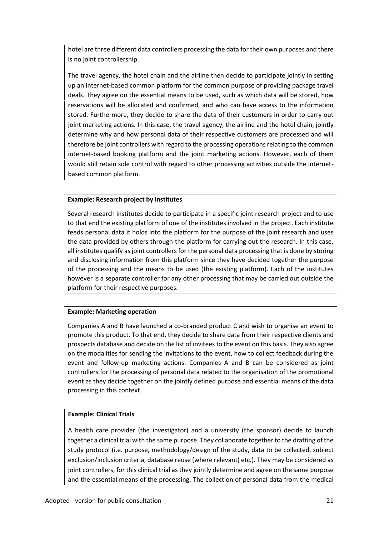hotel are three different data controllers processing the data for their own purposes and there is no joint controllership.

The travel agency, the hotel chain and the airline then decide to participate jointly in setting up an internet-based common platform for the common purpose of providing package travel deals. They agree on the essential means to be used, such as which data will be stored, how reservations will be allocated and confirmed, and who can have access to the information stored. Furthermore, they decide to share the data of their customers in order to carry out joint marketing actions. In this case, the travel agency, the airline and the hotel chain, jointly determine why and how personal data of their respective customers are processed and will therefore be joint controllers with regard to the processing operations relating to the common internet-based booking platform and the joint marketing actions. However, each of them would still retain sole control with regard to other processing activities outside the internet based common platform.

#### **Example: Research project by institutes**

Several research institutes decide to participate in a specific joint research project and to use to that end the existing platform of one of the institutes involved in the project. Each institute feeds personal data it holds into the platform for the purpose of the joint research and uses the data provided by others through the platform for carrying out the research. In this case, all institutes qualify as joint controllers for the personal data processing that is done by storing and disclosing information from this platform since they have decided together the purpose of the processing and the means to be used (the existing platform). Each of the institutes however is a separate controller for any other processing that may be carried out outside the platform for their respective purposes.

#### **Example: Marketing operation**

Companies A and B have launched a co-branded product C and wish to organise an event to promote this product. To that end, they decide to share data from their respective clients and prospects database and decide on the list of invitees to the event on this basis. They also agree on the modalities for sending the invitations to the event, how to collect feedback during the event and follow-up marketing actions. Companies A and B can be considered as joint controllers for the processing of personal data related to the organisation of the promotional event as they decide together on the jointly defined purpose and essential means of the data processing in this context.

#### **Example: Clinical Trials**

A health care provider (the investigator) and a university (the sponsor) decide to launch together a clinical trial with the same purpose. They collaborate together to the drafting of the study protocol (i.e. purpose, methodology/design of the study, data to be collected, subject exclusion/inclusion criteria, database reuse (where relevant) etc.). They may be considered as joint controllers, for this clinical trial as they jointly determine and agree on the same purpose and the essential means of the processing. The collection of personal data from the medical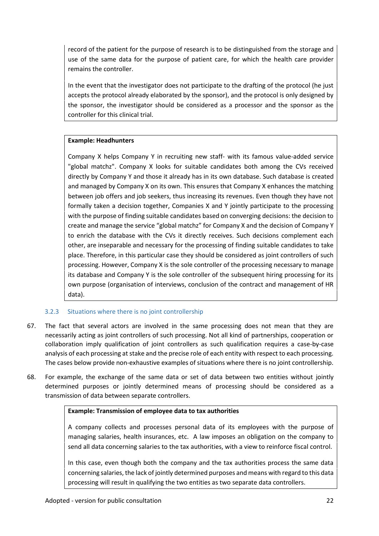record of the patient for the purpose of research is to be distinguished from the storage and use of the same data for the purpose of patient care, for which the health care provider remains the controller.

In the event that the investigator does not participate to the drafting of the protocol (he just accepts the protocol already elaborated by the sponsor), and the protocol is only designed by the sponsor, the investigator should be considered as a processor and the sponsor as the controller for this clinical trial.

#### **Example: Headhunters**

Company X helps Company Y in recruiting new staff- with its famous value-added service "global matchz". Company X looks for suitable candidates both among the CVs received directly by Company Y and those it already has in its own database. Such database is created and managed by Company X on its own. This ensures that Company X enhances the matching between job offers and job seekers, thus increasing its revenues. Even though they have not formally taken a decision together, Companies X and Y jointly participate to the processing with the purpose of finding suitable candidates based on converging decisions: the decision to create and manage the service "global matchz" for Company X and the decision of Company Y to enrich the database with the CVs it directly receives. Such decisions complement each other, are inseparable and necessary for the processing of finding suitable candidates to take place. Therefore, in this particular case they should be considered as joint controllers of such processing. However, Company X is the sole controller of the processing necessary to manage its database and Company Y is the sole controller of the subsequent hiring processing for its own purpose (organisation of interviews, conclusion of the contract and management of HR data).

#### 3.2.3 Situations where there is no joint controllership

- 67. The fact that several actors are involved in the same processing does not mean that they are necessarily acting as joint controllers of such processing. Not all kind of partnerships, cooperation or collaboration imply qualification of joint controllers as such qualification requires a case-by-case analysis of each processing at stake and the precise role of each entity with respect to each processing. The cases below provide non-exhaustive examples of situations where there is no joint controllership.
- 68. For example, the exchange of the same data or set of data between two entities without jointly determined purposes or jointly determined means of processing should be considered as a transmission of data between separate controllers.

#### **Example: Transmission of employee data to tax authorities**

A company collects and processes personal data of its employees with the purpose of managing salaries, health insurances, etc. A law imposes an obligation on the company to send all data concerning salaries to the tax authorities, with a view to reinforce fiscal control.

In this case, even though both the company and the tax authorities process the same data concerning salaries, the lack of jointly determined purposes and means with regard to this data processing will result in qualifying the two entities as two separate data controllers.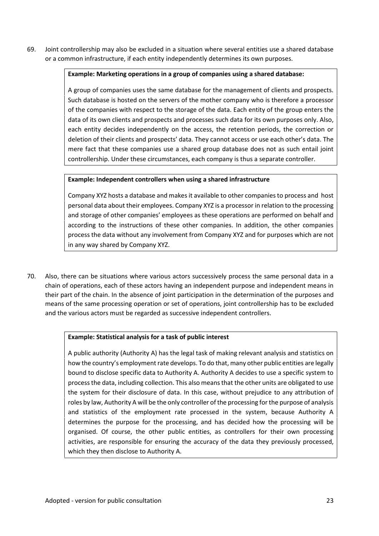69. Joint controllership may also be excluded in a situation where several entities use a shared database or a common infrastructure, if each entity independently determines its own purposes.

#### **Example: Marketing operations in a group of companies using a shared database:**

A group of companies uses the same database for the management of clients and prospects. Such database is hosted on the servers of the mother company who is therefore a processor of the companies with respect to the storage of the data. Each entity of the group enters the data of its own clients and prospects and processes such data for its own purposes only. Also, each entity decides independently on the access, the retention periods, the correction or deletion of their clients and prospects' data. They cannot access or use each other's data. The mere fact that these companies use a shared group database does not as such entail joint controllership. Under these circumstances, each company is thus a separate controller.

#### **Example: Independent controllers when using a shared infrastructure**

Company XYZ hosts a database and makes it available to other companies to process and host personal data about their employees. Company XYZ is a processor in relation to the processing and storage of other companies' employees as these operations are performed on behalf and according to the instructions of these other companies. In addition, the other companies process the data without any involvement from Company XYZ and for purposes which are not in any way shared by Company XYZ.

70. Also, there can be situations where various actors successively process the same personal data in a chain of operations, each of these actors having an independent purpose and independent means in their part of the chain. In the absence of joint participation in the determination of the purposes and means of the same processing operation or set of operations, joint controllership has to be excluded and the various actors must be regarded as successive independent controllers.

#### **Example: Statistical analysis for a task of public interest**

A public authority (Authority A) has the legal task of making relevant analysis and statistics on how the country's employment rate develops. To do that, many other public entities are legally bound to disclose specific data to Authority A. Authority A decides to use a specific system to process the data, including collection. This also means that the other units are obligated to use the system for their disclosure of data. In this case, without prejudice to any attribution of roles by law, Authority A will be the only controller of the processing for the purpose of analysis and statistics of the employment rate processed in the system, because Authority A determines the purpose for the processing, and has decided how the processing will be organised. Of course, the other public entities, as controllers for their own processing activities, are responsible for ensuring the accuracy of the data they previously processed, which they then disclose to Authority A.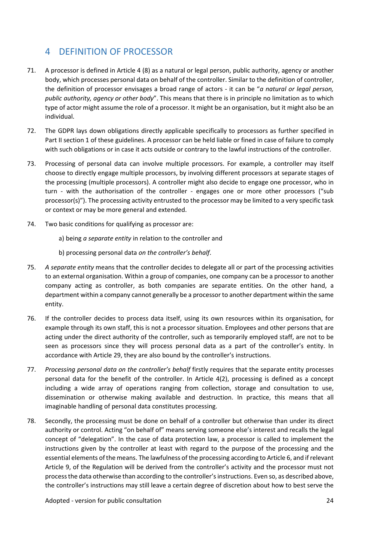## 4 DEFINITION OF PROCESSOR

- 71. A processor is defined in Article 4 (8) as a natural or legal person, public authority, agency or another body, which processes personal data on behalf of the controller. Similar to the definition of controller, the definition of processor envisages a broad range of actors -it can be "*a natural or legal person, public authority, agency or other body*". This means that there is in principle no limitation as to which type of actor might assume the role of a processor. It might be an organisation, but it might also be an individual.
- 72. The GDPR lays down obligations directly applicable specifically to processors as further specified in Part II section 1 of these guidelines. A processor can be held liable or fined in case of failure to comply with such obligations or in case it acts outside or contrary to the lawful instructions of the controller.
- 73. Processing of personal data can involve multiple processors. For example, a controller may itself choose to directly engage multiple processors, by involving different processors at separate stages of the processing (multiple processors). A controller might also decide to engage one processor, who in turn - with the authorisation of the controller - engages one or more other processors ("sub processor(s)"). The processing activity entrusted to the processor may be limited to a very specific task or context or may be more general and extended.
- 74. Two basic conditions for qualifying as processor are:

a) being *a separate entity* in relation to the controller and

b) processing personal data *on the controller's behalf*.

- 75. *A separate entity* means that the controller decides to delegate all or part of the processing activities to an external organisation. Within a group of companies, one company can be a processor to another company acting as controller, as both companies are separate entities. On the other hand, a department within a company cannot generally be a processor to another department within the same entity.
- 76. If the controller decides to process data itself, using its own resources within its organisation, for example through its own staff, this is not a processor situation. Employees and other persons that are acting under the direct authority of the controller, such as temporarily employed staff, are not to be seen as processors since they will process personal data as a part of the controller's entity. In accordance with Article 29, they are also bound by the controller's instructions.
- 77. *Processing personal data on the controller's behalf* firstly requires that the separate entity processes personal data for the benefit of the controller. In Article 4(2), processing is defined as a concept including a wide array of operations ranging from collection, storage and consultation to use, dissemination or otherwise making available and destruction. In practice, this means that all imaginable handling of personal data constitutes processing.
- 78. Secondly, the processing must be done on behalf of a controller but otherwise than under its direct authority or control. Acting "on behalf of" means serving someone else's interest and recalls the legal concept of "delegation". In the case of data protection law, a processor is called to implement the instructions given by the controller at least with regard to the purpose of the processing and the essential elements ofthe means. The lawfulness of the processing according to Article 6, and ifrelevant Article 9, of the Regulation will be derived from the controller's activity and the processor must not processthe data otherwise than according to the controller'sinstructions. Even so, as described above, the controller's instructions may stillleave a certain degree of discretion about how to best serve the

Adopted - version for public consultation 24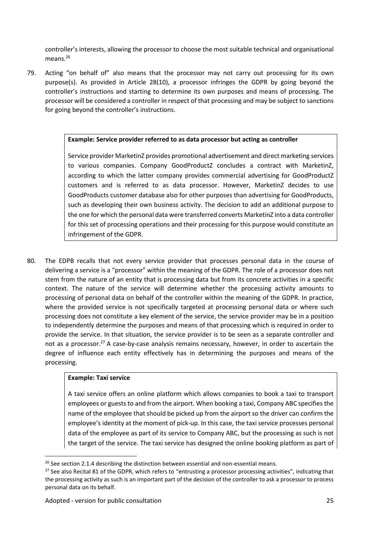controller's interests, allowing the processor to choose the most suitable technical and organisational means.<sup>26</sup>

79. Acting "on behalf of" also means that the processor may not carry out processing for its own purpose(s). As provided in Article 28(10), a processor infringes the GDPR by going beyond the controller's instructions and starting to determine its own purposes and means of processing. The processor will be considered a controller in respect of that processing and may be subject to sanctions for going beyond the controller's instructions.

#### **Example: Service provider referred to as data processor but acting as controller**

Service provider MarketinZ provides promotional advertisement and direct marketing services to various companies. Company GoodProductZ concludes a contract with MarketinZ, according to which the latter company provides commercial advertising for GoodProductZ customers and is referred to as data processor. However, MarketinZ decides to use GoodProducts customer database also for other purposes than advertising for GoodProducts, such as developing their own business activity. The decision to add an additional purpose to the one for which the personal data were transferred converts MarketinZ into a data controller for this set of processing operations and their processing for this purpose would constitute an infringement of the GDPR.

80. The EDPB recalls that not every service provider that processes personal data in the course of delivering a service isa "processor" within the meaning of the GDPR. The role of a processor does not stem from the nature of an entity that is processing data but from its concrete activities in a specific context. The nature of the service will determine whether the processing activity amounts to processing of personal data on behalf of the controller within the meaning of the GDPR. In practice, where the provided service is not specifically targeted at processing personal data or where such processing does not constitute a key element of the service, the service provider may be in a position to independently determine the purposes and means of that processing which is required in order to provide the service. In that situation, the service provider is to be seen as a separate controller and not as a processor.<sup>27</sup> A case-by-case analysis remains necessary, however, in order to ascertain the degree of influence each entity effectively has in determining the purposes and means of the processing.

#### **Example: Taxi service**

A taxi service offers an online platform which allows companies to book a taxi to transport employees or guests to and from the airport. When booking a taxi, Company ABC specifies the name of the employee that should be picked up from the airport so the driver can confirm the employee's identity at the moment of pick-up. In this case, the taxi service processes personal data of the employee as part of its service to Company ABC, but the processing as such is not the target of the service. The taxi service has designed the online booking platform as part of

 $26$  See section 2.1.4 describing the distinction between essential and non-essential means.

<sup>&</sup>lt;sup>27</sup> See also Recital 81 of the GDPR, which refers to "entrusting a processor processing activities", indicating that the processing activity as such is an important part of the decision of the controller to ask a processor to process personal data on its behalf.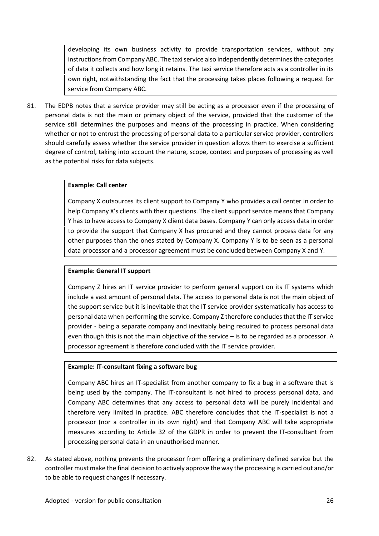developing its own business activity to provide transportation services, without any instructions from Company ABC. The taxi service also independently determines the categories of data it collects and how long it retains. The taxi service therefore acts as a controller in its own right, notwithstanding the fact that the processing takes places following a request for service from Company ABC.

81. The EDPB notes that a service provider may still be acting as a processor even if the processing of personal data is not the main or primary object of the service, provided that the customer of the service still determines the purposes and means of the processing in practice. When considering whether or not to entrust the processing of personal data to a particular service provider, controllers should carefully assess whether the service provider in question allows them to exercise a sufficient degree of control, taking into account the nature, scope, context and purposes of processing as well as the potential risks for data subjects.

#### **Example: Call center**

Company X outsources its client support to Company Y who provides a call center in order to help Company X's clients with their questions. The client support service means that Company Y has to have access to Company X client data bases. Company Y can only access data in order to provide the support that Company X has procured and they cannot process data for any other purposes than the ones stated by Company X. Company Y is to be seen as a personal data processor and a processor agreement must be concluded between Company X and Y.

#### **Example: General IT support**

Company Z hires an IT service provider to perform general support on its IT systems which include a vast amount of personal data. The access to personal data is not the main object of the support service but it is inevitable that the IT service provider systematically has access to personal data when performing the service. Company Z therefore concludes that the IT service provider - being a separate company and inevitably being required to process personal data even though this is not the main objective of the service – isto be regarded as a processor. A processor agreement is therefore concluded with the IT service provider.

#### **Example: IT-consultant fixing a software bug**

Company ABC hires an IT-specialist from another company to fix a bug in a software that is being used by the company. The IT-consultant is not hired to process personal data, and Company ABC determines that any access to personal data will be purely incidental and therefore very limited in practice. ABC therefore concludes that the IT-specialist is not a processor (nor a controller in its own right) and that Company ABC will take appropriate measures according to Article 32 of the GDPR in order to prevent the IT-consultant from processing personal data in an unauthorised manner*.*

82. As stated above, nothing prevents the processor from offering a preliminary defined service but the controller must make the final decision to actively approve the way the processing is carried out and/or to be able to request changes if necessary.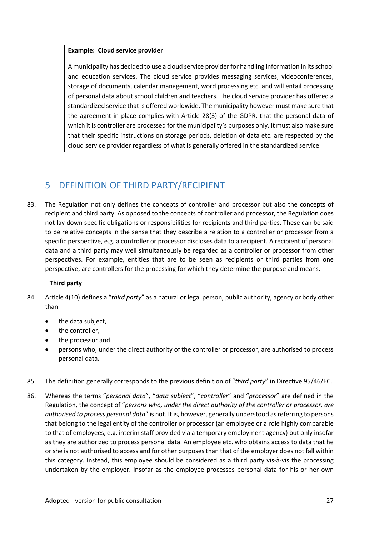#### **Example: Cloud service provider**

A municipality has decided to use a cloud service provider for handling information in itsschool and education services. The cloud service provides messaging services, videoconferences, storage of documents, calendar management, word processing etc. and will entail processing of personal data about school children and teachers. The cloud service provider has offered a standardized service that is offered worldwide. The municipality however must make sure that the agreement in place complies with Article 28(3) of the GDPR, that the personal data of which it is controller are processed for the municipality's purposes only. It must also make sure that their specific instructions on storage periods, deletion of data etc. are respected by the cloud service provider regardless of what is generally offered in the standardized service.

## 5 DEFINITION OFTHIRD PARTY/RECIPIENT

83. The Regulation not only defines the concepts of controller and processor but also the concepts of recipient and third party. As opposed to the concepts of controller and processor, the Regulation does not lay down specific obligations or responsibilities for recipients and third parties. These can be said to be relative concepts in the sense that they describe a relation to a controller or processor from a specific perspective, e.g. a controller or processor discloses data to a recipient. A recipient of personal data and a third party may well simultaneously be regarded as a controller or processor from other perspectives. For example, entities that are to be seen as recipients or third parties from one perspective, are controllers for the processing for which they determine the purpose and means.

#### **Third party**

- 84. Article 4(10) defines a "*third party*" as a natural or legal person, public authority, agency or body other than
	- the data subject,
	- the controller,
	- the processor and
	- persons who, under the direct authority of the controller or processor, are authorised to process personal data.
- 85. The definition generally corresponds to the previous definition of "*third party*" in Directive 95/46/EC.
- 86. Whereas the terms "*personal data*", "*data subject*", "*controller*" and "*processor*" are defined in the Regulation, the concept of "*persons who, under the direct authority ofthe controller or processor, are authorised to process personal data*" is not. It is, however, generally understood asreferring to persons that belong to the legal entity of the controller or processor (an employee ora role highly comparable to that of employees, e.g. interim staff provided via a temporary employment agency) but only insofar as they are authorized to process personal data. An employee etc.who obtains access to data that he or she is not authorised to access and forother purposes than that of the employer does not fall within this category. Instead, this employee should be considered as a third party vis-à-vis the processing undertaken by the employer. Insofar as the employee processes personal data for his or her own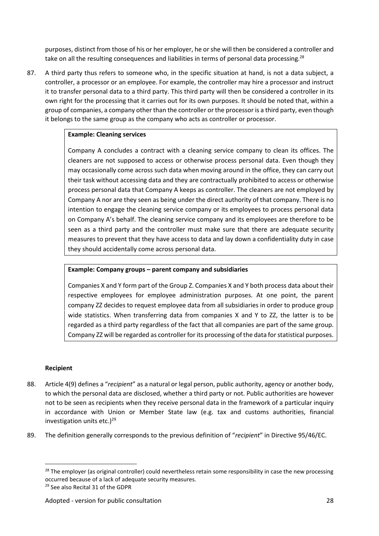purposes, distinct from those of his or her employer, he orshe will then be considered a controller and take on all the resulting consequences and liabilities in terms of personal data processing.<sup>28</sup>

87. A third party thus refers to someone who, in the specific situation at hand, is not a data subject, a controller, a processor or an employee. For example, the controller may hire a processor and instruct it to transfer personal data to a third party. This third party will then be considered a controller in its own right for the processing that it carries out for its own purposes. It should be noted that, within a group of companies, a company other than the controller or the processor is a third party, even though it belongs to the same group as the company who acts as controller or processor.

#### **Example: Cleaning services**

Company A concludes a contract with a cleaning service company to clean its offices. The cleaners are not supposed to access or otherwise process personal data. Even though they may occasionally come across such data when moving around in the office, they can carry out their task without accessing data and they are contractually prohibited to access or otherwise process personal data that Company A keeps as controller. The cleaners are not employed by Company A nor are they seen as being under the direct authority of that company. There is no intention to engage the cleaning service company or its employees to process personal data on Company A's behalf. The cleaning service company and its employees are therefore to be seen as a third party and the controller must make sure that there are adequate security measures to prevent that they have access to data and lay down a confidentiality duty in case they should accidentally come across personal data.

#### **Example: Company groups – parent company and subsidiaries**

Companies X and Y form part of the Group Z. Companies X and Y both process data about their respective employees for employee administration purposes. At one point, the parent company ZZ decides to request employee data from all subsidiaries in order to produce group wide statistics. When transferring data from companies X and Y to ZZ, the latter is to be regarded as a third party regardless of the fact that all companies are part of the same group. Company ZZ will be regarded as controller for its processing of the data for statistical purposes.

#### **Recipient**

- 88. Article 4(9) defines a "*recipient*" as a natural or legal person, public authority, agency or another body, to which the personal data are disclosed, whether a third party or not. Public authorities are however not to be seen as recipients when they receive personal data in the framework of a particular inquiry in accordance with Union or Member State law (e.g. tax and customs authorities, financial investigation units etc.) $29$
- 89. The definition generally corresponds to the previous definition of "*recipient*" in Directive 95/46/EC.

 $28$  The employer (as original controller) could nevertheless retain some responsibility in case the new processing occurred because of a lack of adequate security measures.

<sup>29</sup> See also Recital 31 of the GDPR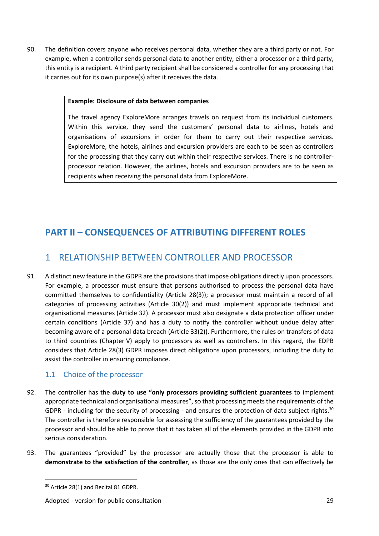90. The definition covers anyone who receives personal data, whether they are a third party or not. For example, when a controller sends personal data to another entity, either a processor or a third party, this entity is a recipient. A third party recipient shall be considered a controller for any processing that it carries out for its own purpose(s) after it receives the data.

#### **Example: Disclosure of data between companies**

The travel agency ExploreMore arranges travels on request from its individual customers. Within this service, they send the customers' personal data to airlines, hotels and organisations of excursions in order for them to carry out their respective services. ExploreMore, the hotels, airlines and excursion providers are each to be seen as controllers for the processing that they carry out within their respective services. There is no controller processor relation. However, the airlines, hotels and excursion providers are to be seen as recipients when receiving the personal data from ExploreMore.

## **PART II – CONSEQUENCES OF ATTRIBUTING DIFFERENT ROLES**

## 1 RELATIONSHIP BETWEEN CONTROLLER AND PROCESSOR

91. A distinct new feature in the GDPR are the provisions that impose obligations directly upon processors. For example, a processor must ensure that persons authorised to process the personal data have committed themselves to confidentiality (Article 28(3)); a processor must maintain a record of all categories of processing activities (Article 30(2)) and must implement appropriate technical and organisational measures (Article 32). A processor must also designate a data protection officer under certain conditions (Article 37) and has a duty to notify the controller without undue delay after becoming aware of a personal data breach (Article 33(2)). Furthermore, the rules on transfers of data to third countries (Chapter V) apply to processors as well as controllers. In this regard, the EDPB considers that Article 28(3) GDPR imposes direct obligations upon processors, including the duty to assist the controller in ensuring compliance.

#### 1.1 Choice of the processor

- 92. The controller has the **duty to use "only processors providing sufficient guarantees** to implement appropriate technical and organisational measures", so that processing meetsthe requirements of the GDPR - including for the security of processing - and ensures the protection of data subject rights.<sup>30</sup> The controller is therefore responsible for assessing the sufficiency of the guarantees provided by the processor and should be able to prove that it has taken all of the elements provided in the GDPR into serious consideration.
- 93. The guarantees "provided" by the processor are actually those that the processor is able to **demonstrate to the satisfaction of the controller**, as those are the only ones that can effectively be

<sup>30</sup> Article 28(1) and Recital 81 GDPR.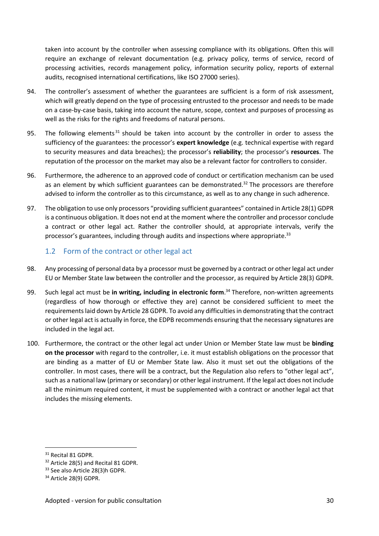taken into account by the controller when assessing compliance with its obligations. Often this will require an exchange of relevant documentation (e.g. privacy policy, terms of service, record of processing activities, records management policy, information security policy, reports of external audits, recognised international certifications, like ISO 27000 series).

- 94. The controller's assessment of whether the guarantees are sufficient is a form of risk assessment, which will greatly depend on the type of processing entrusted to the processor and needs to be made on a case-by-case basis, taking into account the nature, scope, context and purposes of processing as well as the risks for the rights and freedoms of natural persons.
- 95. The following elements<sup>31</sup> should be taken into account by the controller in order to assess the sufficiency ofthe guarantees: the processor's **expert knowledge** (e.g. technical expertise with regard to security measures and data breaches); the processor's **reliability**; the processor's **resources**. The reputation of the processor on the market may also be a relevant factor for controllers to consider.
- 96. Furthermore, the adherence to an approved code of conduct or certification mechanism can be used as an element by which sufficient guarantees can be demonstrated. $32$  The processors are therefore advised to inform the controller as to this circumstance, as well as to any change in such adherence.
- 97. The obligation to use only processors "providing sufficient guarantees" contained in Article 28(1) GDPR is a continuous obligation. It does not end at the moment where the controller and processor conclude a contract or other legal act. Rather the controller should, at appropriate intervals, verify the processor's guarantees, including through audits and inspections where appropriate.<sup>33</sup>

#### 1.2 Form of the contract or other legal act

- 98. Any processing of personal data by a processor must be governed by a contract or other legal act under EU or Member State law between the controller and the processor, as required by Article 28(3) GDPR.
- 99. Such legal act must be in writing, including in electronic form.<sup>34</sup> Therefore, non-written agreements (regardless of how thorough oreffective they are) cannot be considered sufficient to meet the requirementslaid down by Article 28 GDPR. To avoid any difficultiesin demonstrating that the contract or other legal act is actually in force, the EDPB recommends ensuring that the necessary signatures are included in the legal act.
- 100. Furthermore, the contract or the other legal act under Union or Member State law must be **binding on the processor** with regard to the controller, i.e. it must establish obligations on the processor that are binding as a matter of EU or Member State law. Also it must set out the obligations of the controller. In most cases, there will be a contract, but the Regulation also refers to "other legal act", such as a national law (primary orsecondary) or other legal instrument. If the legal act does not include all the minimum required content, it must be supplemented with a contract or another legal act that includes the missing elements.

<sup>&</sup>lt;sup>31</sup> Recital 81 GDPR.

<sup>&</sup>lt;sup>32</sup> Article 28(5) and Recital 81 GDPR.

<sup>33</sup> See also Article 28(3)h GDPR.

<sup>&</sup>lt;sup>34</sup> Article 28(9) GDPR.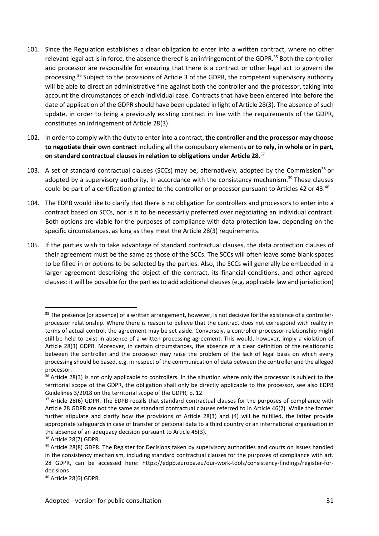- 101. Since the Regulation establishes a clear obligation to enter into a written contract, where no other relevant legal act is in force, the absence thereof is an infringement of the GDPR.<sup>35</sup> Both the controller and processor are responsible for ensuring that there is a contract or other legal act to govern the processing.<sup>36</sup> Subject to the provisions of Article 3 of the GDPR, the competent supervisory authority will be able to direct an administrative fine against both the controller and the processor, taking into account the circumstances of each individual case. Contracts that have been entered into before the date of application of the GDPR should have been updated in light of Article 28(3). The absence of such update, in order to bring a previously existing contract in line with the requirements of the GDPR, constitutes an infringement of Article 28(3).
- 102. In order to comply with the duty to enter into a contract, **the controller and the processor may choose to negotiate their own contract** including all the compulsory elements **or to rely,in whole orin part, on standard contractual clauses in relation to obligations under Article 28**.<sup>37</sup>
- 103. A set of standard contractual clauses (SCCs) may be, alternatively, adopted by the Commission<sup>38</sup> or adopted by a supervisory authority, in accordance with the consistency mechanism.<sup>39</sup> These clauses could be part of a certification granted to the controller or processor pursuant to Articles 42 or 43.<sup>40</sup>
- 104. The EDPB would like to clarify that there is no obligation for controllers and processors to enter into a contract based on SCCs, nor is it to be necessarily preferred over negotiating an individual contract. Both options are viable for the purposes of compliance with data protection law, depending on the specific circumstances, as long as they meet the Article 28(3) requirements.
- 105. If the parties wish to take advantage of standard contractual clauses, the data protection clauses of their agreement must be the same as those of the SCCs. The SCCs will often leave some blank spaces to be filled in or options to be selected by the parties. Also, the SCCs will generally be embedded in a larger agreement describing the object of the contract, its financial conditions, and other agreed clauses: it will be possible for the parties to add additional clauses (e.g. applicable law and jurisdiction)

<sup>&</sup>lt;sup>35</sup> The presence (or absence) of a written arrangement, however, is not decisive for the existence of a controllerprocessor relationship. Where there is reason to believe that the contract does not correspond with reality in terms of actual control, the agreement may be set aside. Conversely, a controller-processor relationship might still be held to exist in absence of a written processing agreement. This would, however, imply a violation of Article 28(3) GDPR. Moreover, in certain circumstances, the absence of a clear definition of the relationship between the controller and the processor may raise the problem of the lack of legal basis on which every processing should be based, e.g. in respect of the communication of data between the controller and the alleged processor.

<sup>&</sup>lt;sup>36</sup> Article 28(3) is not only applicable to controllers. In the situation where only the processor is subject to the territorial scope of the GDPR, the obligation shall only be directly applicable to the processor, see also EDPB Guidelines 3/2018 on the territorial scope of the GDPR, p. 12.

<sup>&</sup>lt;sup>37</sup> Article 28(6) GDPR. The EDPB recalls that standard contractual clauses for the purposes of compliance with Article 28 GDPR are not the same as standard contractual clauses referred to in Article 46(2). While the former further stipulate and clarify how the provisions of Article 28(3) and (4) will be fulfilled, the latter provide appropriate safeguards in case of transfer of personal data to a third country or an international organisation in the absence of an adequacy decision pursuant to Article 45(3).

<sup>&</sup>lt;sup>38</sup> Article 28(7) GDPR.

<sup>&</sup>lt;sup>39</sup> Article 28(8) GDPR. The Register for Decisions taken by supervisory authorities and courts on issues handled in the consistency mechanism, including standard contractual clauses for the purposes of compliance with art. 28 GDPR, can be accessed here: https://edpb.europa.eu/our-work-tools/consistency-findings/register-for decisions

<sup>40</sup> Article 28(6) GDPR.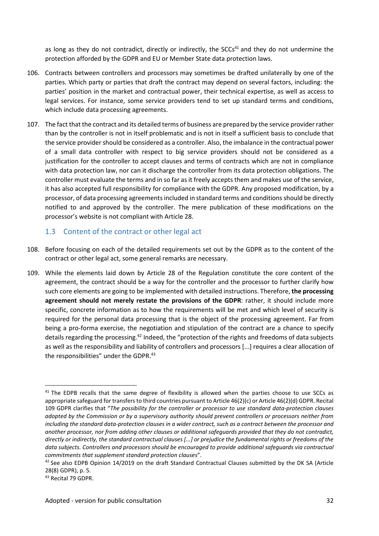as long as they do not contradict, directly or indirectly, the SCCs<sup>41</sup> and they do not undermine the protection afforded by the GDPR and EU or Member State data protection laws.

- 106. Contracts between controllers and processors may sometimes be drafted unilaterally by one of the parties. Which party or parties that draft the contract may depend on several factors, including: the parties' position in the market and contractual power, their technical expertise, as well as access to legal services. For instance, some service providers tend to set up standard terms and conditions, which include data processing agreements.
- 107. The fact that the contract and its detailed terms of business are prepared by the service provider rather than by the controller is not in itself problematic and is not in itself a sufficient basis to conclude that the service provider should be considered as a controller. Also, the imbalance in the contractual power of a small data controller with respect to big service providers should not be considered as a justification for the controller to accept clauses and terms of contracts which are not in compliance with data protection law, nor can it discharge the controller from its data protection obligations. The controller must evaluate the terms and in so farasit freely accepts them and makes use of the service, it has also accepted full responsibility for compliance with the GDPR. Any proposed modification, by a processor, of data processing agreements included in standard terms and conditions should be directly notified to and approved by the controller. The mere publication of these modifications on the processor's website is not compliant with Article 28.

#### 1.3 Content of the contract or other legal act

- 108. Before focusing on each of the detailed requirements set out by the GDPR asto the content of the contract or other legal act, some general remarks are necessary.
- 109. While the elements laid down by Article 28 of the Regulation constitute the core content of the agreement, the contract should be a way for the controller and the processor to further clarify how such core elements are going to be implemented with detailed instructions. Therefore, **the processing agreement should not merely restate the provisions of the GDPR**: rather, it should include more specific, concrete information as to how the requirements will be met and which level of security is required for the personal data processing that is the object of the processing agreement. Far from being a pro-forma exercise, the negotiation and stipulation of the contract are a chance to specify details regarding the processing.<sup>42</sup> Indeed, the "protection of the rights and freedoms of data subjects as well as the responsibility and liability of controllers and processors [...] requires a clear allocation of the responsibilities" under the GDPR.<sup>43</sup>

<sup>&</sup>lt;sup>41</sup> The EDPB recalls that the same degree of flexibility is allowed when the parties choose to use SCCs as appropriate safeguard for transfers to third countries pursuant to Article 46(2)(c) or Article 46(2)(d) GDPR. Recital 109 GDPR clarifies that "*The possibility for the controller or processor to use standard data-protection clauses adopted by the Commission or by a supervisory authority should prevent controllers or processors neither from* including the standard data-protection clauses in a wider contract, such as a contract between the processor and *another processor, nor from adding other clauses or additional safeguards provided that they do not contradict,* directly or indirectly, the standard contractual clauses [...] or prejudice the fundamental rights or freedoms of the *data subjects. Controllers and processors should be encouraged to provide additional safeguards via contractual commitments that supplement standard protection clauses*".

<sup>&</sup>lt;sup>42</sup> See also EDPB Opinion 14/2019 on the draft Standard Contractual Clauses submitted by the DK SA (Article 28(8) GDPR), p. 5.

<sup>43</sup> Recital 79 GDPR.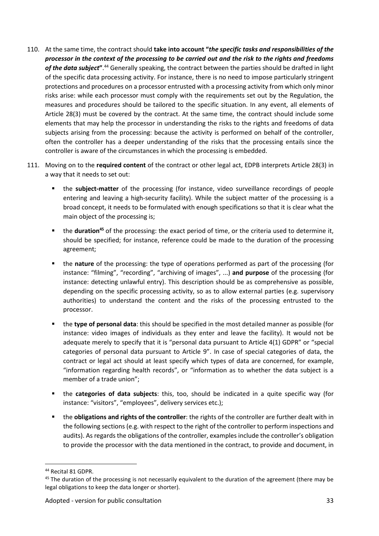- 110. At the same time, the contract should **take into account "***the specific tasks and responsibilities of the* processor in the context of the processing to be carried out and the risk to the rights and freedoms *of the data subject***"**.<sup>44</sup> Generally speaking, the contract between the parties should be drafted in light of the specific data processing activity. For instance, there is no need to impose particularly stringent protections and procedures on a processor entrusted with a processing activity from which only minor risks arise: while each processor must comply with the requirements set out by the Regulation, the measures and procedures should be tailored to the specific situation. In any event, all elements of Article 28(3) must be covered by the contract. At the same time, the contract should include some elements that may help the processor in understanding the risks to the rights and freedoms of data subjects arising from the processing: because the activity is performed on behalf of the controller, often the controller has a deeper understanding of the risks that the processing entails since the controller is aware of the circumstances in which the processing is embedded.
- 111. Moving on to the **required content** of the contract or other legal act, EDPB interprets Article 28(3) in a way that it needs to set out:
	- the **subject-matter** of the processing (for instance, video surveillance recordings of people entering and leaving a high-security facility). While the subject matter of the processing is a broad concept, it needs to be formulated with enough specifications so that it is clear what the main object of the processing is;
	- the **duration<sup>45</sup>** of the processing: the exact period of time, or the criteria used to determine it, should be specified; for instance, reference could be made to the duration of the processing agreement;
	- the **nature** of the processing: the type of operations performed as part of the processing (for instance: "filming", "recording", "archiving of images", ...) **and purpose** of the processing (for instance: detecting unlawful entry). This description should be as comprehensive as possible, depending on the specific processing activity, so as to allow external parties (e.g. supervisory authorities) to understand the content and the risks of the processing entrusted to the processor.
	- the **type of personal data**: this should be specified in the most detailed manner as possible (for instance: video images of individuals as they enter and leave the facility). It would not be adequate merely to specify that it is "personal data pursuant to Article 4(1) GDPR" or "special categories of personal data pursuant to Article 9". In case of special categories of data, the contract or legal act should at least specify which types of data are concerned, for example, "information regarding health records", or "information as to whether the data subject is a member of a trade union";
	- the **categories of data subjects**: this, too, should be indicated in a quite specific way (for instance: "visitors", "employees", delivery services etc.);
	- the **obligations and rights of the controller**: the rights of the controller are further dealt with in the following sections (e.g. with respect to the right of the controller to perform inspections and audits). As regards the obligations of the controller, examples include the controller's obligation to provide the processor with the data mentioned in the contract, to provide and document, in

<sup>44</sup> Recital 81 GDPR.

<sup>&</sup>lt;sup>45</sup> The duration of the processing is not necessarily equivalent to the duration of the agreement (there may be legal obligations to keep the data longer or shorter).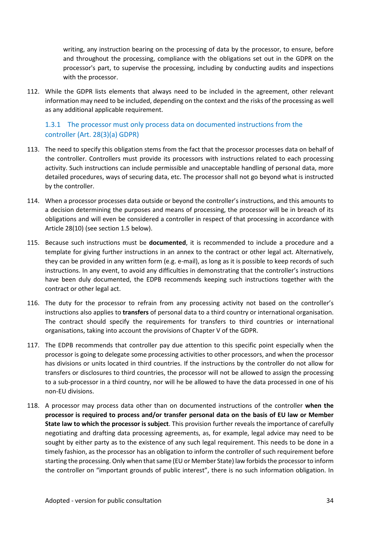writing, any instruction bearing on the processing of data by the processor, to ensure, before and throughout the processing, compliance with the obligations set out in the GDPR on the processor's part, to supervise the processing, including by conducting audits and inspections with the processor.

112. While the GDPR lists elements that always need to be included in the agreement, other relevant information may need to be included, depending on the context and the risks of the processing as well as any additional applicable requirement.

#### 1.3.1 The processor must only process data on documented instructions from the controller (Art. 28(3)(a) GDPR)

- 113. The need to specify this obligation stems from the fact that the processor processes data on behalf of the controller. Controllers must provide its processors with instructions related to each processing activity. Such instructions can include permissible and unacceptable handling of personal data, more detailed procedures, ways of securing data, etc. The processor shall not go beyond what is instructed by the controller.
- 114. When a processor processes data outside or beyond the controller's instructions, and this amounts to a decision determining the purposes and means of processing, the processor will be in breach of its obligations and will even be considered a controller in respect of that processing in accordance with Article 28(10) (see section 1.5 below).
- 115. Because such instructions must be **documented**, it is recommended to include a procedure and a template for giving further instructions in an annex to the contract or other legal act. Alternatively, they can be provided in any written form (e.g. e-mail), as long as it is possible to keep records of such instructions. In any event, to avoid any difficulties in demonstrating that the controller's instructions have been duly documented, the EDPB recommends keeping such instructions together with the contract or other legal act.
- 116. The duty for the processor to refrain from any processing activity not based on the controller's instructions also applies to **transfers** of personal data to a third country or international organisation. The contract should specify the requirements for transfers to third countries or international organisations, taking into account the provisions of Chapter V of the GDPR.
- 117. The EDPB recommends that controller pay due attention to this specific point especially when the processor is going to delegate some processing activities to other processors, and when the processor has divisions or units located in third countries. If the instructions by the controller do not allow for transfers or disclosures to third countries, the processor will not be allowed to assign the processing to a sub-processor in a third country, nor will he be allowed to have the data processed in one of his non-EU divisions.
- 118. A processor may process data other than on documented instructions of the controller **when the processor is required to process and/or transfer personal data on the basis of EU law or Member State law to which the processor is subject**. This provision further reveals the importance of carefully negotiating and drafting data processing agreements, as, for example, legal advice may need to be sought by either party as to the existence of any such legal requirement. This needs to be done in a timely fashion, as the processor has an obligation to inform the controller of such requirement before starting the processing. Only when that same (EU or Member State) law forbids the processor to inform the controller on "important grounds of public interest", there is no such information obligation. In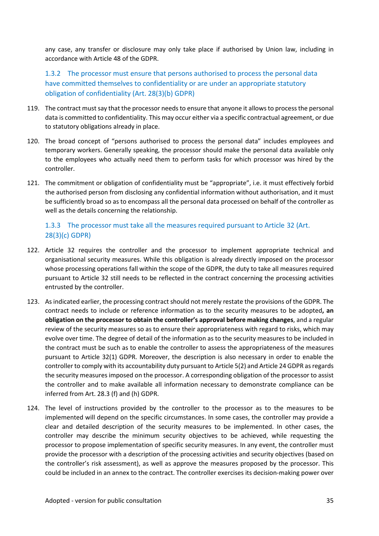any case, any transfer or disclosure may only take place if authorised by Union law, including in accordance with Article 48 of the GDPR.

1.3.2 The processor must ensure that persons authorised to process the personal data have committed themselves to confidentiality or are under an appropriate statutory obligation of confidentiality (Art. 28(3)(b) GDPR)

- 119. The contract must say that the processor needs to ensure that anyone it allows to process the personal data is committed to confidentiality. This may occur either via a specific contractual agreement, or due to statutory obligations already in place.
- 120. The broad concept of "persons authorised to process the personal data" includes employees and temporary workers. Generally speaking, the processor should make the personal data available only to the employees who actually need them to perform tasks for which processor was hired by the controller.
- 121. The commitment or obligation of confidentiality must be "appropriate", i.e. it must effectively forbid the authorised person from disclosing any confidential information without authorisation, and it must be sufficiently broad so as to encompass all the personal data processed on behalf of the controller as well as the details concerning the relationship.

#### 1.3.3 The processor must take all the measures required pursuant to Article 32 (Art. 28(3)(c) GDPR)

- 122. Article 32 requires the controller and the processor to implement appropriate technical and organisational security measures. While this obligation is already directly imposed on the processor whose processing operations fall within the scope of the GDPR, the duty to take all measures required pursuant to Article 32 still needs to be reflected in the contract concerning the processing activities entrusted by the controller.
- 123. As indicated earlier, the processing contract should not merely restate the provisions of the GDPR. The contract needs to include or reference information as to the security measures to be adopted**, an obligation on the processor to obtain the controller's approval before making changes**, and a regular review of the security measures so as to ensure their appropriateness with regard to risks, which may evolve over time. The degree of detail of the information as to the security measures to be included in the contract must be such as to enable the controller to assess the appropriateness of the measures pursuant to Article 32(1) GDPR. Moreover, the description is also necessary in order to enable the controller to comply with its accountability duty pursuant to Article 5(2) and Article 24 GDPR asregards the security measures imposed on the processor. A corresponding obligation of the processor to assist the controller and to make available all information necessary to demonstrate compliance can be inferred from Art. 28.3 (f) and (h) GDPR.
- 124. The level of instructions provided by the controller to the processor as to the measures to be implemented will depend on the specific circumstances. In some cases, the controller may provide a clear and detailed description of the security measures to be implemented. In other cases, the controller may describe the minimum security objectives to be achieved, while requesting the processor to propose implementation of specific security measures. In any event, the controller must provide the processor with a description of the processing activities and security objectives (based on the controller's risk assessment), as well as approve the measures proposed by the processor. This could be included in an annex to the contract. The controller exercises its decision-making power over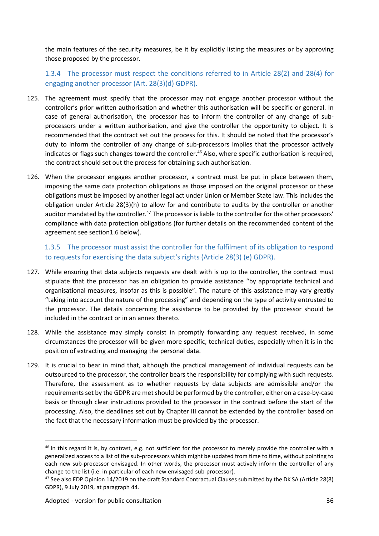the main features of the security measures, be it by explicitly listing the measures or by approving those proposed by the processor.

1.3.4 The processor must respect the conditions referred to in Article 28(2) and 28(4) for engaging another processor (Art. 28(3)(d) GDPR).

- 125. The agreement must specify that the processor may not engage another processor without the controller's prior written authorisation and whether this authorisation will be specific or general. In case of general authorisation, the processor has to inform the controller of any change of sub processors under a written authorisation, and give the controller the opportunity to object. It is recommended that the contract set out the process for this. It should be noted that the processor's duty to inform the controller of any change of sub-processors implies that the processor actively indicates or flags such changes toward the controller.<sup>46</sup> Also, where specific authorisation is required, the contract should set out the process for obtaining such authorisation.
- 126. When the processor engages another processor, a contract must be put in place between them, imposing the same data protection obligations as those imposed on the original processor or these obligations must be imposed by another legal act under Union or Member State law. This includes the obligation under Article 28(3)(h) to allow for and contribute to audits by the controller or another auditor mandated by the controller.<sup>47</sup> The processor is liable to the controller for the other processors' compliance with data protection obligations (for further details on the recommended content of the agreement see section1.6 below).

#### 1.3.5 The processor must assist the controller for the fulfilment of its obligation to respond to requests for exercising the data subject's rights (Article 28(3) (e) GDPR).

- 127. While ensuring that data subjects requests are dealt with is up to the controller, the contract must stipulate that the processor has an obligation to provide assistance "by appropriate technical and organisational measures, insofar as this is possible". The nature of this assistance may vary greatly "taking into account the nature of the processing" and depending on the type of activity entrusted to the processor. The details concerning the assistance to be provided by the processor should be included in the contract or in an annex thereto.
- 128. While the assistance may simply consist in promptly forwarding any request received, in some circumstances the processor will be given more specific, technical duties, especially when it is in the position of extracting and managing the personal data.
- 129. It is crucial to bear in mind that, although the practical management of individual requests can be outsourced to the processor, the controller bears the responsibility for complying with such requests. Therefore, the assessment as to whether requests by data subjects are admissible and/or the requirements set by the GDPR are met should be performed by the controller, either on a case-by-case basis or through clear instructions provided to the processor in the contract before the start of the processing. Also, the deadlines set out by Chapter III cannot be extended by the controller based on the fact that the necessary information must be provided by the processor.

<sup>&</sup>lt;sup>46</sup> In this regard it is, by contrast, e.g. not sufficient for the processor to merely provide the controller with a generalized access to a list of the sub-processors which might be updated from time to time, without pointing to each new sub-processor envisaged. In other words, the processor must actively inform the controller of any change to the list (i.e. in particular of each new envisaged sub-processor).

<sup>&</sup>lt;sup>47</sup> See also EDP Opinion 14/2019 on the draft Standard Contractual Clauses submitted by the DK SA (Article 28(8) GDPR), 9 July 2019, at paragraph 44.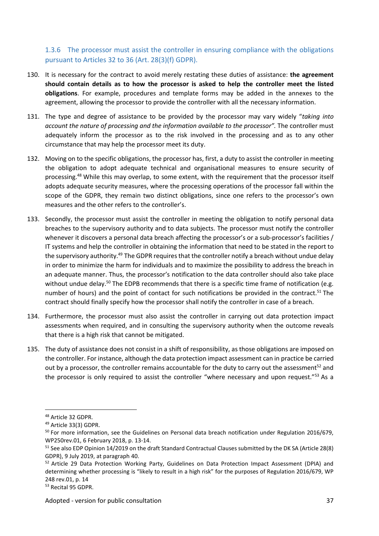#### 1.3.6 The processor must assist the controller in ensuring compliance with the obligations pursuant to Articles 32 to 36 (Art. 28(3)(f) GDPR).

- 130. It is necessary for the contract to avoid merely restating these duties of assistance: **the agreement should contain details as to how the processor is asked to help the controller meet the listed obligations**. For example, procedures and template forms may be added in the annexes to the agreement, allowing the processor to provide the controller with all the necessary information.
- 131. The type and degree of assistance to be provided by the processor may vary widely "*taking into account the nature of processing and the information available to the processor".* The controller must adequately inform the processor as to the risk involved in the processing and as to any other circumstance that may help the processor meet its duty.
- 132. Moving on to the specific obligations, the processor has, first, a duty to assist the controller in meeting the obligation to adopt adequate technical and organisational measures to ensure security of processing.<sup>48</sup> While this may overlap, to some extent, with the requirement that the processor itself adopts adequate security measures, where the processing operations of the processor fall within the scope of the GDPR, they remain two distinct obligations, since one refers to the processor's own measures and the other refers to the controller's.
- 133. Secondly, the processor must assist the controller in meeting the obligation to notify personal data breaches to the supervisory authority and to data subjects. The processor must notify the controller whenever it discovers a personal data breach affecting the processor's or a sub-processor's facilities / IT systems and help the controller in obtaining the information that need to be stated in the report to the supervisory authority.<sup>49</sup> The GDPR requires that the controller notify a breach without undue delay in order to minimize the harm for individuals and to maximize the possibility to address the breach in an adequate manner. Thus, the processor's notification to the data controller should also take place without undue delay.<sup>50</sup> The EDPB recommends that there is a specific time frame of notification (e.g. number of hours) and the point of contact for such notifications be provided in the contract.<sup>51</sup> The contract should finally specify how the processor shall notify the controller in case of a breach.
- 134. Furthermore, the processor must also assist the controller in carrying out data protection impact assessments when required, and in consulting the supervisory authority when the outcome reveals that there is a high risk that cannot be mitigated.
- 135. The duty of assistance does not consist in a shift of responsibility, as those obligations are imposed on the controller. For instance, although the data protection impact assessment can in practice be carried out by a processor, the controller remains accountable for the duty to carry out the assessment<sup>52</sup> and the processor is only required to assist the controller "where necessary and upon request."<sup>53</sup> As a

<sup>48</sup> Article 32 GDPR.

<sup>49</sup> Article 33(3) GDPR.

<sup>&</sup>lt;sup>50</sup> For more information, see the Guidelines on Personal data breach notification under Regulation 2016/679, WP250rev.01, 6 February 2018, p. 13-14.

<sup>51</sup> See also EDP Opinion 14/2019 on the draft Standard Contractual Clauses submitted by the DK SA (Article 28(8) GDPR), 9 July 2019, at paragraph 40.

<sup>52</sup> Article 29 Data Protection Working Party, Guidelines on Data Protection Impact Assessment (DPIA) and determining whether processing is "likely to result in a high risk" for the purposes of Regulation 2016/679, WP 248 rev.01, p. 14

<sup>53</sup> Recital 95 GDPR.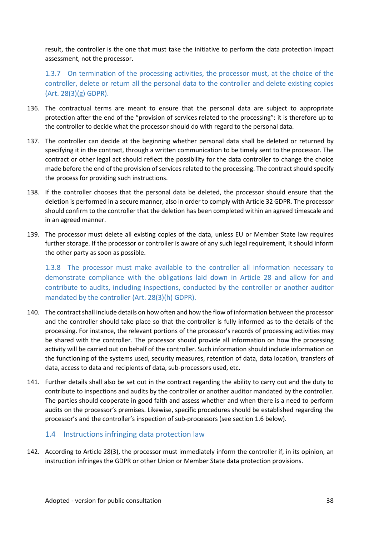result, the controller is the one that must take the initiative to perform the data protection impact assessment, not the processor.

1.3.7 On termination of the processing activities, the processor must, at the choice of the controller, delete or return all the personal data to the controller and delete existing copies (Art. 28(3)(g) GDPR).

- 136. The contractual terms are meant to ensure that the personal data are subject to appropriate protection after the end of the "provision of services related to the processing": it is therefore up to the controller to decide what the processor should do with regard to the personal data.
- 137. The controller can decide at the beginning whether personal data shall be deleted or returned by specifying it in the contract, through a written communication to be timely sent to the processor. The contract or other legal act should reflect the possibility for the data controller to change the choice made before the end of the provision of services related to the processing. The contract should specify the process for providing such instructions.
- 138. If the controller chooses that the personal data be deleted, the processor should ensure that the deletion is performed in a secure manner, also in order to comply with Article 32 GDPR. The processor should confirm to the controller that the deletion has been completed within an agreed timescale and in an agreed manner.
- 139. The processor must delete all existing copies of the data, unless EU or Member State law requires further storage. If the processor or controller is aware of any such legal requirement, it should inform the other party as soon as possible.

1.3.8 The processor must make available to the controller all information necessary to demonstrate compliance with the obligations laid down in Article 28 and allow for and contribute to audits, including inspections, conducted by the controller or another auditor mandated by the controller (Art. 28(3)(h) GDPR).

- 140. The contract shall include details on how often and how the flow of information between the processor and the controller should take place so that the controller is fully informed as to the details of the processing. For instance, the relevant portions of the processor's records of processing activities may be shared with the controller. The processor should provide all information on how the processing activity will be carried out on behalf of the controller. Such information should include information on the functioning of the systems used, security measures, retention of data, data location, transfers of data, access to data and recipients of data, sub-processors used, etc.
- 141. Further details shall also be set out in the contract regarding the ability to carry out and the duty to contribute to inspections and audits by the controller or another auditor mandated by the controller. The parties should cooperate in good faith and assess whether and when there is a need to perform audits on the processor's premises. Likewise, specific procedures should be established regarding the processor's and the controller's inspection of sub-processors (see section 1.6 below).

#### 1.4 Instructions infringing data protection law

142. According to Article 28(3), the processor must immediately inform the controller if, in its opinion, an instruction infringes the GDPR or other Union or Member State data protection provisions.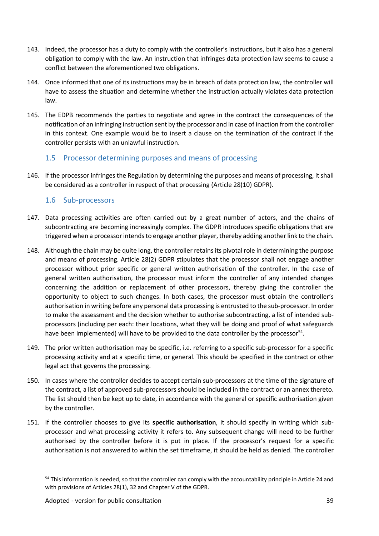- 143. Indeed, the processor has a duty to comply with the controller's instructions, but it also has a general obligation to comply with the law. An instruction that infringes data protection law seems to cause a conflict between the aforementioned two obligations.
- 144. Once informed that one of its instructions may be in breach of data protection law, the controller will have to assess the situation and determine whether the instruction actually violates data protection law.
- 145. The EDPB recommends the parties to negotiate and agree in the contract the consequences of the notification of an infringing instruction sent by the processor and in case of inaction from the controller in this context. One example would be to insert a clause on the termination of the contract if the controller persists with an unlawful instruction.

#### 1.5 Processor determining purposes and means of processing

146. If the processor infringes the Regulation by determining the purposes and means of processing, it shall be considered as a controller in respect of that processing (Article 28(10) GDPR).

#### 1.6 Sub-processors

- 147. Data processing activities are often carried out by a great number of actors, and the chains of subcontracting are becoming increasingly complex. The GDPR introduces specific obligations that are triggered when a processorintendsto engage another player, thereby adding another link to the chain.
- 148. Although the chain may be quite long, the controller retains its pivotal role in determining the purpose and means of processing. Article 28(2) GDPR stipulates that the processor shall not engage another processor without prior specific or general written authorisation of the controller. In the case of general written authorisation, the processor must inform the controller of any intended changes concerning the addition or replacement of other processors, thereby giving the controller the opportunity to object to such changes. In both cases, the processor must obtain the controller's authorisation in writing before any personal data processing is entrusted to the sub-processor. In order to make the assessment and the decision whether to authorise subcontracting, a list of intended sub processors (including per each: their locations, what they will be doing and proof of what safeguards have been implemented) will have to be provided to the data controller by the processor<sup>54</sup>.
- 149. The prior written authorisation may be specific, i.e. referring to a specific sub-processor for a specific processing activity and at a specific time, or general. This should be specified in the contract or other legal act that governs the processing.
- 150. In cases where the controller decides to accept certain sub-processors at the time of the signature of the contract, a list of approved sub-processors should be included in the contract or an annex thereto. The list should then be kept up to date, in accordance with the general or specific authorisation given by the controller.
- 151. If the controller chooses to give its **specific authorisation**, it should specify in writing which sub processor and what processing activity it refers to. Any subsequent change will need to be further authorised by the controller before it is put in place. If the processor's request for a specific authorisation is not answered to within the set timeframe, it should be held as denied. The controller

<sup>&</sup>lt;sup>54</sup> This information is needed, so that the controller can comply with the accountability principle in Article 24 and with provisions of Articles 28(1), 32 and Chapter V of the GDPR.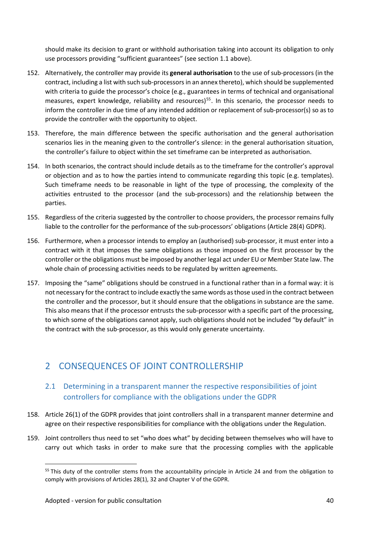should make its decision to grant or withhold authorisation taking into account its obligation to only use processors providing "sufficient guarantees" (see section 1.1 above).

- 152. Alternatively, the controller may provide its **general authorisation** to the use of sub-processors (in the contract, including a list with such sub-processorsin an annex thereto), which should be supplemented with criteria to guide the processor's choice (e.g., guarantees in terms of technical and organisational measures, expert knowledge, reliability and resources)<sup>55</sup>. In this scenario, the processor needs to inform the controller in due time of any intended addition or replacement of sub-processor(s) so as to provide the controller with the opportunity to object.
- 153. Therefore, the main difference between the specific authorisation and the general authorisation scenarios lies in the meaning given to the controller's silence: in the general authorisation situation, the controller's failure to object within the set timeframe can be interpreted as authorisation.
- 154. In both scenarios, the contract should include details as to the timeframe for the controller's approval or objection and as to how the parties intend to communicate regarding this topic (e.g. templates). Such timeframe needs to be reasonable in light of the type of processing, the complexity of the activities entrusted to the processor (and the sub-processors) and the relationship between the parties.
- 155. Regardless of the criteria suggested by the controller to choose providers, the processor remains fully liable to the controller for the performance of the sub-processors' obligations (Article 28(4) GDPR).
- 156. Furthermore, when a processor intends to employ an (authorised) sub-processor, it must enter into a contract with it that imposes the same obligations as those imposed on the first processor by the controller or the obligations must be imposed by another legal act under EU or Member State law. The whole chain of processing activities needs to be regulated by written agreements.
- 157. Imposing the "same" obligations should be construed in a functional rather than in a formal way: it is not necessary forthe contract to include exactly the same words asthose used in the contract between the controller and the processor, but it should ensure that the obligations in substance are the same. This also means that if the processor entrusts the sub-processor with a specific part of the processing, to which some of the obligations cannot apply, such obligations should not be included "by default" in the contract with the sub-processor, as this would only generate uncertainty.

## 2 CONSEQUENCES OF JOINT CONTROLLERSHIP

#### 2.1 Determining in a transparent manner the respective responsibilities of joint controllers for compliance with the obligations under the GDPR

- 158. Article 26(1) of the GDPR provides that joint controllers shall in a transparent manner determine and agree on their respective responsibilities for compliance with the obligations under the Regulation.
- 159. Joint controllers thus need to set "who does what" by deciding between themselves who will have to carry out which tasks in order to make sure that the processing complies with the applicable

<sup>&</sup>lt;sup>55</sup> This duty of the controller stems from the accountability principle in Article 24 and from the obligation to comply with provisions of Articles 28(1), 32 and Chapter V of the GDPR.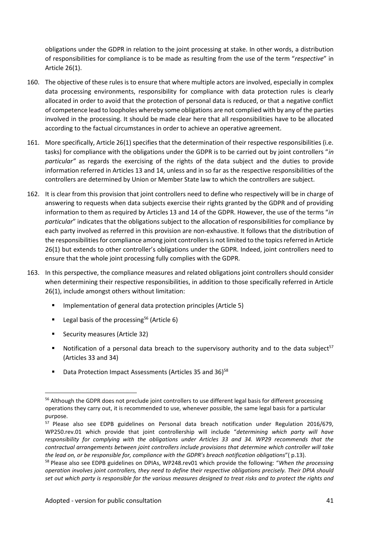obligations under the GDPR in relation to the joint processing at stake. In other words, a distribution of responsibilities for compliance is to be made as resulting from the use of the term "*respective*" in Article 26(1).

- 160. The objective of these rules is to ensure that where multiple actors are involved, especially in complex data processing environments, responsibility for compliance with data protection rules is clearly allocated in order to avoid that the protection of personal data is reduced, or that a negative conflict of competence lead to loopholes whereby some obligations are not complied with by any of the parties involved in the processing. It should be made clear here that all responsibilities have to be allocated according to the factual circumstances in order to achieve an operative agreement.
- 161. More specifically, Article 26(1) specifies that the determination of their respective responsibilities (i.e. tasks) for compliance with the obligations under the GDPR is to be carried out by joint controllers "*in particular"* as regards the exercising of the rights of the data subject and the duties to provide information referred in Articles 13 and 14, unless and in so far as the respective responsibilities of the controllers are determined by Union or Member State law to which the controllers are subject.
- 162. It is clear from this provision that joint controllers need to define who respectively will be in charge of answering to requests when data subjects exercise their rights granted by the GDPR and of providing information to them as required by Articles 13 and 14 of the GDPR. However, the use of the terms "*in particular*" indicates that the obligations subject to the allocation of responsibilities for compliance by each party involved as referred in this provision are non-exhaustive. It follows that the distribution of the responsibilities for compliance among joint controllers is not limited to the topics referred in Article 26(1) but extends to other controller's obligations under the GDPR. Indeed, joint controllers need to ensure that the whole joint processing fully complies with the GDPR.
- 163. In this perspective, the compliance measures and related obligations joint controllers should consider when determining their respective responsibilities, in addition to those specifically referred in Article 26(1), include amongst others without limitation:
	- **IMPLEMENTER IMPLEMENT IN A LOCAL PROPERTY IN A LOCAL PROPERTY IN A LOCAL PROPERTY IN A LOCAL PROPERTY IN A LOCAL PROPERTY IN A LOCAL PROPERTY IN A LOCAL PROPERTY IN A LOCAL PROPERTY IN A LOCAL PROPERTY IN A LOCAL PROPERTY**
	- **Legal basis of the processing**<sup>56</sup> (Article 6)
	- Security measures (Article 32)
	- Notification of a personal data breach to the supervisory authority and to the data subject<sup>57</sup> (Articles 33 and 34)
	- Data Protection Impact Assessments (Articles 35 and 36)<sup>58</sup>

<sup>&</sup>lt;sup>56</sup> Although the GDPR does not preclude joint controllers to use different legal basis for different processing operations they carry out, it is recommended to use, whenever possible, the same legal basis for a particular purpose.

<sup>57</sup> Please also see EDPB guidelines on Personal data breach notification under Regulation 2016/679, WP250.rev.01 which provide that joint controllership will include "*determining which party will have responsibility for complying with the obligations under Articles 33 and 34. WP29 recommends that the contractual arrangements between joint controllers include provisions that determine which controller will take the lead on, or be responsible for, compliance with the GDPR's breach notification obligations*"( p.13).

<sup>58</sup> Please also see EDPB guidelines on DPIAs, WP248.rev01 which provide the following: "*When the processing operation involves joint controllers, they need to define their respective obligations precisely. Their DPIA should* set out which party is responsible for the various measures designed to treat risks and to protect the rights and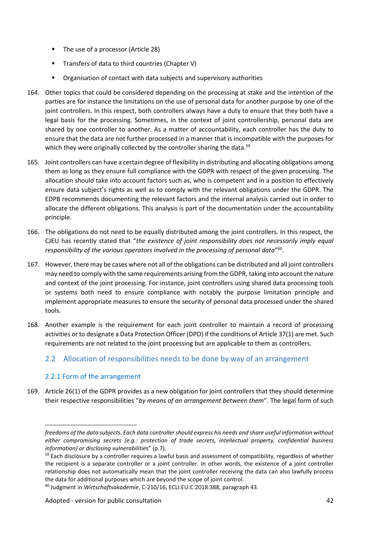- The use of a processor (Article 28)
- **Transfers of data to third countries (Chapter V)**
- **•** Organisation of contact with data subjects and supervisory authorities
- 164. Other topics that could be considered depending on the processing at stake and the intention of the parties are for instance the limitations on the use of personal data for another purpose by one of the joint controllers. In this respect, both controllers always have a duty to ensure that they both have a legal basis for the processing. Sometimes, in the context of joint controllership, personal data are shared by one controller to another. As a matter of accountability, each controller has the duty to ensure that the data are not further processed in a manner that is incompatible with the purposes for which they were originally collected by the controller sharing the data.<sup>59</sup>
- 165. Joint controllers can have a certain degree of flexibility in distributing and allocating obligations among them as long as they ensure full compliance with the GDPR with respect of the given processing. The allocation should take into account factors such as, who is competent and in a position to effectively ensure data subject's rights as well as to comply with the relevant obligations under the GDPR. The EDPB recommends documenting the relevant factors and the internal analysis carried out in order to allocate the different obligations. This analysis is part of the documentation under the accountability principle.
- 166. The obligations do not need to be equally distributed among the joint controllers. In this respect, the CJEU has recently stated that "*the existence of joint responsibility does not necessarily imply equal responsibility of the various operators involved in the processing of personal data*" 60 .
- 167. However, there may be cases where not all of the obligations can be distributed and all joint controllers may need to comply with the same requirements arising from the GDPR, taking into account the nature and context of the joint processing. For instance, joint controllers using shared data processing tools or systems both need to ensure compliance with notably the purpose limitation principle and implement appropriate measures to ensure the security of personal data processed under the shared tools.
- 168. Another example is the requirement for each joint controller to maintain a record of processing activities or to designate a Data Protection Officer (DPO) if the conditions of Article 37(1) are met. Such requirements are not related to the joint processing but are applicable to them as controllers.

#### 2.2 Allocation of responsibilities needs to be done by way of an arrangement

#### 2.2.1 Form of the arrangement

169. Article 26(1) of the GDPR provides as a new obligation for joint controllers that they should determine their respective responsibilities "*by means of an arrangement between them*". The legal form of such

*freedoms of the data subjects. Each data controllershould express his needs and share useful information without either compromising secrets (e.g.: protection of trade secrets, intellectual property, confidential business information) or disclosing vulnerabilitie*s" (p.7).

 $59$  Each disclosure by a controller requires a lawful basis and assessment of compatibility, regardless of whether the recipient is a separate controller or a joint controller. In other words, the existence of a joint controller relationship does not automatically mean that the joint controller receiving the data can also lawfully process the data for additional purposes which are beyond the scope of joint control.

<sup>60</sup> Judgment in *Wirtschaftsakademie*, C-210/16, ECLI:EU:C:2018:388, paragraph 43.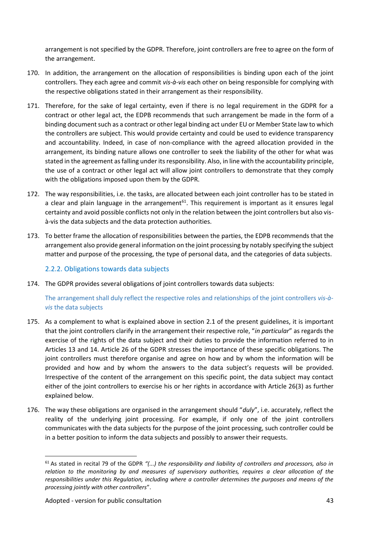arrangement is not specified by the GDPR. Therefore, joint controllers are free to agree on the form of the arrangement.

- 170. In addition, the arrangement on the allocation of responsibilities is binding upon each of the joint controllers. They each agree and commit *vis-à-vis* each other on being responsible for complying with the respective obligations stated in their arrangement as their responsibility.
- 171. Therefore, for the sake of legal certainty, even if there is no legal requirement in the GDPR for a contract or other legal act, the EDPB recommends that such arrangement be made in the form of a binding document such as a contract or other legal binding act under EU or Member State law to which the controllers are subject. This would provide certainty and could be used to evidence transparency and accountability. Indeed, in case of non-compliance with the agreed allocation provided in the arrangement, its binding nature allows one controller to seek the liability of the other for what was stated in the agreement as falling under its responsibility. Also, in line with the accountability principle, the use of a contract or other legal act will allow joint controllers to demonstrate that they comply with the obligations imposed upon them by the GDPR.
- 172. The way responsibilities, i.e. the tasks, are allocated between each joint controller has to be stated in a clear and plain language in the arrangement<sup>61</sup>. This requirement is important as it ensures legal certainty and avoid possible conflicts not only in the relation between the joint controllers but also vis à-vis the data subjects and the data protection authorities.
- 173. To better frame the allocation of responsibilities between the parties, the EDPB recommends that the arrangement also provide general information on the joint processing by notably specifying the subject matter and purpose of the processing, the type of personal data, and the categories of data subjects.

#### 2.2.2. Obligations towards data subjects

174. The GDPR provides several obligations of joint controllers towards data subjects:

The arrangement shall duly reflect the respective roles and relationships of the joint controllers *vis-à vis* the data subjects

- 175. As a complement to what is explained above in section 2.1 of the present guidelines, it is important that the joint controllers clarify in the arrangement their respective role, "*in particular*" as regards the exercise of the rights of the data subject and their duties to provide the information referred to in Articles 13 and 14. Article 26 of the GDPR stresses the importance of these specific obligations. The joint controllers must therefore organise and agree on how and by whom the information will be provided and how and by whom the answers to the data subject's requests will be provided. Irrespective of the content of the arrangement on this specific point, the data subject may contact either of the joint controllers to exercise his or her rights in accordance with Article 26(3) as further explained below.
- 176. The way these obligations are organised in the arrangement should "*duly*", i.e. accurately, reflect the reality of the underlying joint processing. For example, if only one of the joint controllers communicates with the data subjects for the purpose of the joint processing, such controller could be in a better position to inform the data subjects and possibly to answer their requests.

<sup>61</sup> As stated in recital 79 of the GDPR *"(...) the responsibility and liability of controllers and processors, also in relation to the monitoring by and measures of supervisory authorities, requires a clear allocation of the responsibilities under this Regulation, including where a controller determines the purposes and means of the processing jointly with other controllers*".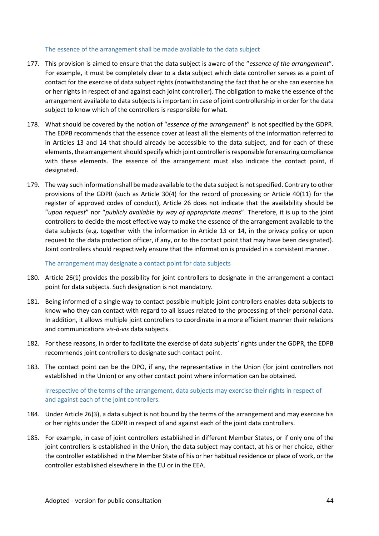#### The essence of the arrangement shall be made available to the data subject

- 177. This provision is aimed to ensure that the data subject is aware of the "*essence of the arrangement*". For example, it must be completely clear to a data subject which data controller serves as a point of contact for the exercise of data subject rights (notwithstanding the fact that he or she can exercise his or her rights in respect of and against each joint controller). The obligation to make the essence of the arrangement available to data subjects is important in case of joint controllership in order for the data subject to know which of the controllers is responsible for what.
- 178. What should be covered by the notion of "*essence of the arrangement*" is not specified by the GDPR. The EDPB recommends that the essence cover at least all the elements of the information referred to in Articles 13 and 14 that should already be accessible to the data subject, and for each of these elements, the arrangement should specify which joint controller is responsible for ensuring compliance with these elements. The essence of the arrangement must also indicate the contact point, if designated.
- 179. The way such information shall be made available to the data subject is not specified. Contrary to other provisions of the GDPR (such as Article 30(4) for the record of processing or Article 40(11) for the register of approved codes of conduct), Article 26 does not indicate that the availability should be "*upon request*" nor "*publicly available by way of appropriate means*". Therefore, it is up to the joint controllers to decide the most effective way to make the essence of the arrangement available to the data subjects (e.g. together with the information in Article 13 or 14, in the privacy policy or upon request to the data protection officer, if any, or to the contact point that may have been designated). Joint controllers should respectively ensure that the information is provided in a consistent manner.

The arrangement may designate a contact point for data subjects

- 180. Article 26(1) provides the possibility for joint controllers to designate in the arrangement a contact point for data subjects. Such designation is not mandatory.
- 181. Being informed of a single way to contact possible multiple joint controllers enables data subjects to know who they can contact with regard to all issues related to the processing of their personal data. In addition, it allows multiple joint controllers to coordinate in a more efficient manner their relations and communications *vis-à-vis* data subjects.
- 182. For these reasons, in order to facilitate the exercise of data subjects' rights under the GDPR, the EDPB recommends joint controllers to designate such contact point.
- 183. The contact point can be the DPO, if any, the representative in the Union (for joint controllers not established in the Union) or any other contact point where information can be obtained.

#### Irrespective of the terms of the arrangement, data subjects may exercise their rights in respect of and against each of the joint controllers.

- 184. Under Article 26(3), a data subject is not bound by the terms of the arrangement and may exercise his or her rights under the GDPR in respect of and against each of the joint data controllers.
- 185. For example, in case of joint controllers established in different Member States, or if only one of the joint controllers is established in the Union, the data subject may contact, at his or her choice, either the controller established in the Member State of his or her habitual residence or place of work, or the controller established elsewhere in the EU or in the EEA.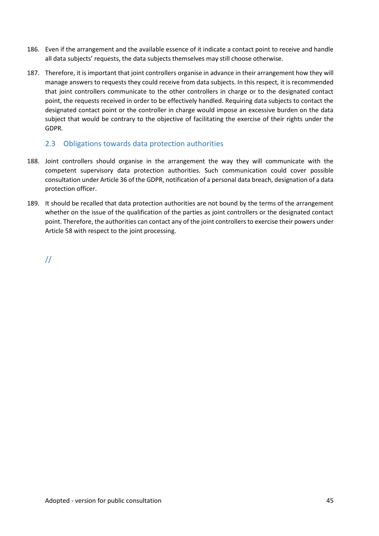- 186. Even if the arrangement and the available essence of it indicate a contact point to receive and handle all data subjects' requests, the data subjects themselves may still choose otherwise.
- 187. Therefore, it is important that joint controllers organise in advance in their arrangement how they will manage answers to requests they could receive from data subjects. In this respect, it is recommended that joint controllers communicate to the other controllers in charge or to the designated contact point, the requests received in order to be effectively handled. Requiring data subjects to contact the designated contact point or the controller in charge would impose an excessive burden on the data subject that would be contrary to the objective of facilitating the exercise of their rights under the GDPR.

#### 2.3 Obligations towards data protection authorities

- 188. Joint controllers should organise in the arrangement the way they will communicate with the competent supervisory data protection authorities. Such communication could cover possible consultation under Article 36 of the GDPR, notification of a personal data breach, designation of a data protection officer.
- 189. It should be recalled that data protection authorities are not bound by the terms of the arrangement whether on the issue of the qualification of the parties as joint controllers or the designated contact point. Therefore, the authorities can contact any of the joint controllers to exercise their powers under Article 58 with respect to the joint processing.

//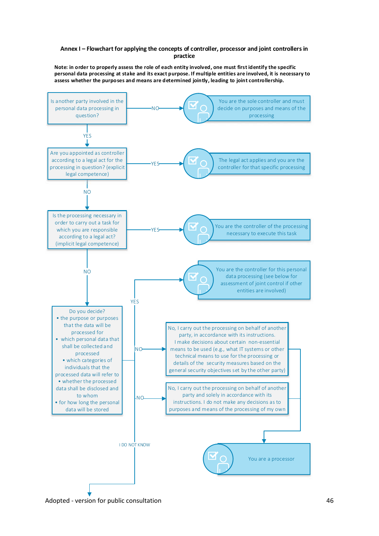#### **Annex I – Flowchart for applying the concepts of controller, processor and joint controllers in practice**

**Note: in order to properly assess the role of each entity involved, one must first identify the specific personal data processing at stake and its exact purpose. If multiple entities are involved, it is necessary to assess whether the purposes and means are determined jointly, leading to joint controllership.**



Adopted - version for public consultation 46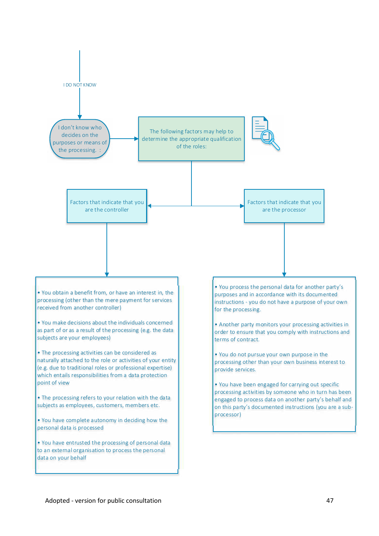